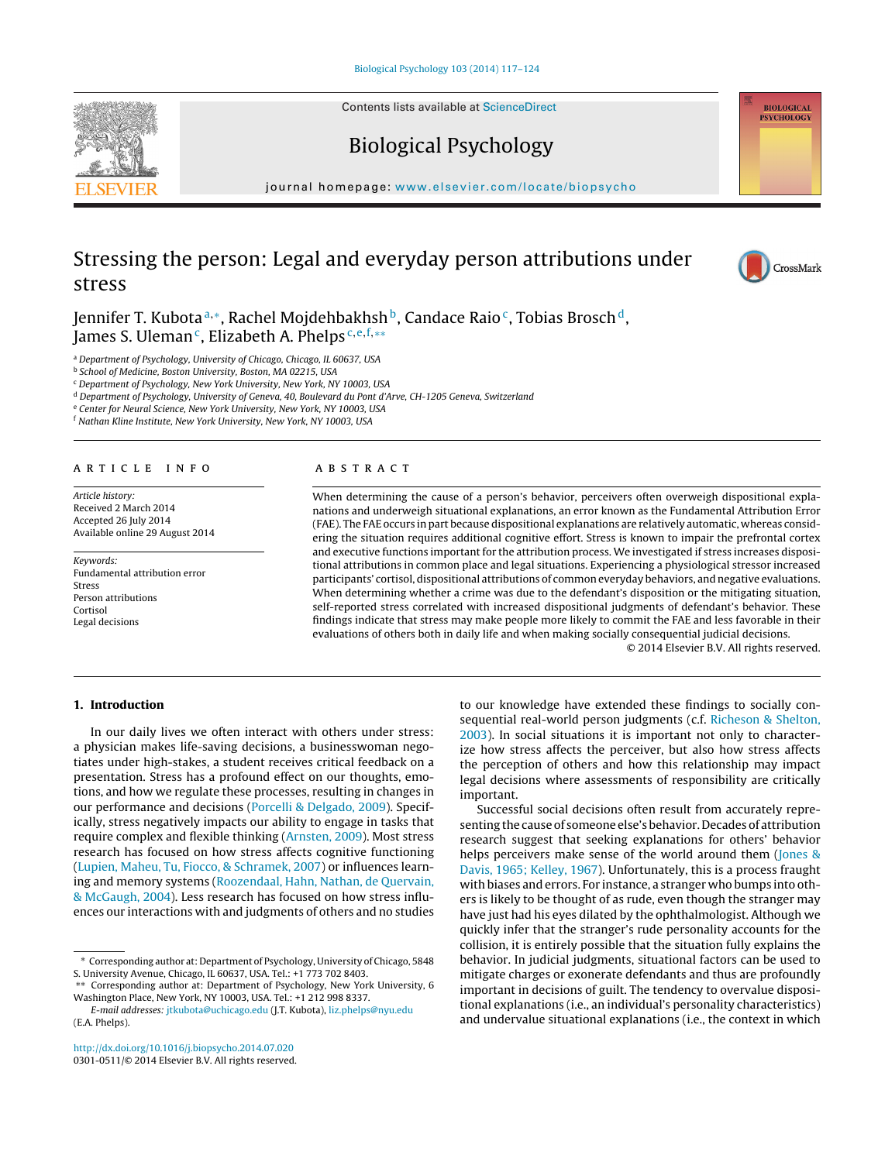Contents lists available at [ScienceDirect](http://www.sciencedirect.com/science/journal/03010511)





iournal homepage: [www.elsevier.com/locate/biopsycho](http://www.elsevier.com/locate/biopsycho)

# Stressing the person: Legal and everyday person attributions under stress



**BIOLOGICAL PSVCHOLOGY** 

Jennifer T. Kubota<sup>a,∗</sup>, Rachel Mojdehbakhsh<sup>b</sup>, Candace Raio<sup>c</sup>, Tobias Brosch<sup>d</sup>, James S. Uleman<sup>c</sup>, Elizabeth A. Phelps<sup>c, e, f,\*\*</sup>

<sup>a</sup> Department of Psychology, University of Chicago, Chicago, IL 60637, USA

<sup>b</sup> School of Medicine, Boston University, Boston, MA 02215, USA

<sup>c</sup> Department of Psychology, New York University, New York, NY 10003, USA

<sup>d</sup> Department of Psychology, University of Geneva, 40, Boulevard du Pont d'Arve, CH-1205 Geneva, Switzerland

<sup>e</sup> Center for Neural Science, New York University, New York, NY 10003, USA

<sup>f</sup> Nathan Kline Institute, New York University, New York, NY 10003, USA

#### A R T I C L E I N F O

Article history: Received 2 March 2014 Accepted 26 July 2014 Available online 29 August 2014

Keywords: Fundamental attribution error Stress Person attributions Cortisol Legal decisions

#### a b s t r a c t

When determining the cause of a person's behavior, perceivers often overweigh dispositional explanations and underweigh situational explanations, an error known as the Fundamental Attribution Error (FAE). The FAE occurs in part because dispositional explanations are relatively automatic, whereas considering the situation requires additional cognitive effort. Stress is known to impair the prefrontal cortex and executive functions important for the attribution process. We investigated if stress increases dispositional attributions in common place and legal situations. Experiencing a physiological stressor increased participants' cortisol, dispositional attributions of common everyday behaviors, and negative evaluations. When determining whether a crime was due to the defendant's disposition or the mitigating situation, self-reported stress correlated with increased dispositional judgments of defendant's behavior. These findings indicate that stress may make people more likely to commit the FAE and less favorable in their evaluations of others both in daily life and when making socially consequential judicial decisions.

© 2014 Elsevier B.V. All rights reserved.

# **1. Introduction**

In our daily lives we often interact with others under stress: a physician makes life-saving decisions, a businesswoman negotiates under high-stakes, a student receives critical feedback on a presentation. Stress has a profound effect on our thoughts, emotions, and how we regulate these processes, resulting in changes in our performance and decisions ([Porcelli](#page-6-0) [&](#page-6-0) [Delgado,](#page-6-0) [2009\).](#page-6-0) Specifically, stress negatively impacts our ability to engage in tasks that require complex and flexible thinking ([Arnsten,](#page-6-0) [2009\).](#page-6-0) Most stress research has focused on how stress affects cognitive functioning ([Lupien,](#page-6-0) [Maheu,](#page-6-0) [Tu,](#page-6-0) [Fiocco,](#page-6-0) [&](#page-6-0) [Schramek,](#page-6-0) [2007\)](#page-6-0) or influences learning and memory systems ([Roozendaal,](#page-7-0) [Hahn,](#page-7-0) [Nathan,](#page-7-0) [de](#page-7-0) [Quervain,](#page-7-0) [&](#page-7-0) [McGaugh,](#page-7-0) [2004\).](#page-7-0) Less research has focused on how stress influences our interactions with and judgments of others and no studies

to our knowledge have extended these findings to socially consequential real-world person judgments (c.f. [Richeson](#page-6-0) [&](#page-6-0) [Shelton,](#page-6-0) [2003\).](#page-6-0) In social situations it is important not only to characterize how stress affects the perceiver, but also how stress affects the perception of others and how this relationship may impact legal decisions where assessments of responsibility are critically important.

Successful social decisions often result from accurately representing the cause of someone else's behavior. Decades of attribution research suggest that seeking explanations for others' behavior helps perceivers make sense of the world around them ([Jones](#page-6-0) [&](#page-6-0) [Davis,](#page-6-0) [1965;](#page-6-0) [Kelley,](#page-6-0) [1967\).](#page-6-0) Unfortunately, this is a process fraught with biases and errors. For instance, a stranger who bumps into others is likely to be thought of as rude, even though the stranger may have just had his eyes dilated by the ophthalmologist. Although we quickly infer that the stranger's rude personality accounts for the collision, it is entirely possible that the situation fully explains the behavior. In judicial judgments, situational factors can be used to mitigate charges or exonerate defendants and thus are profoundly important in decisions of guilt. The tendency to overvalue dispositional explanations (i.e., an individual's personality characteristics) and undervalue situational explanations (i.e., the context in which

<sup>∗</sup> Corresponding author at: Department of Psychology, University of Chicago, 5848 S. University Avenue, Chicago, IL 60637, USA. Tel.: +1 773 702 8403.

<sup>∗∗</sup> Corresponding author at: Department of Psychology, New York University, 6 Washington Place, New York, NY 10003, USA. Tel.: +1 212 998 8337.

E-mail addresses: [jtkubota@uchicago.edu](mailto:jtkubota@uchicago.edu) (J.T. Kubota), [liz.phelps@nyu.edu](mailto:liz.phelps@nyu.edu) (E.A. Phelps).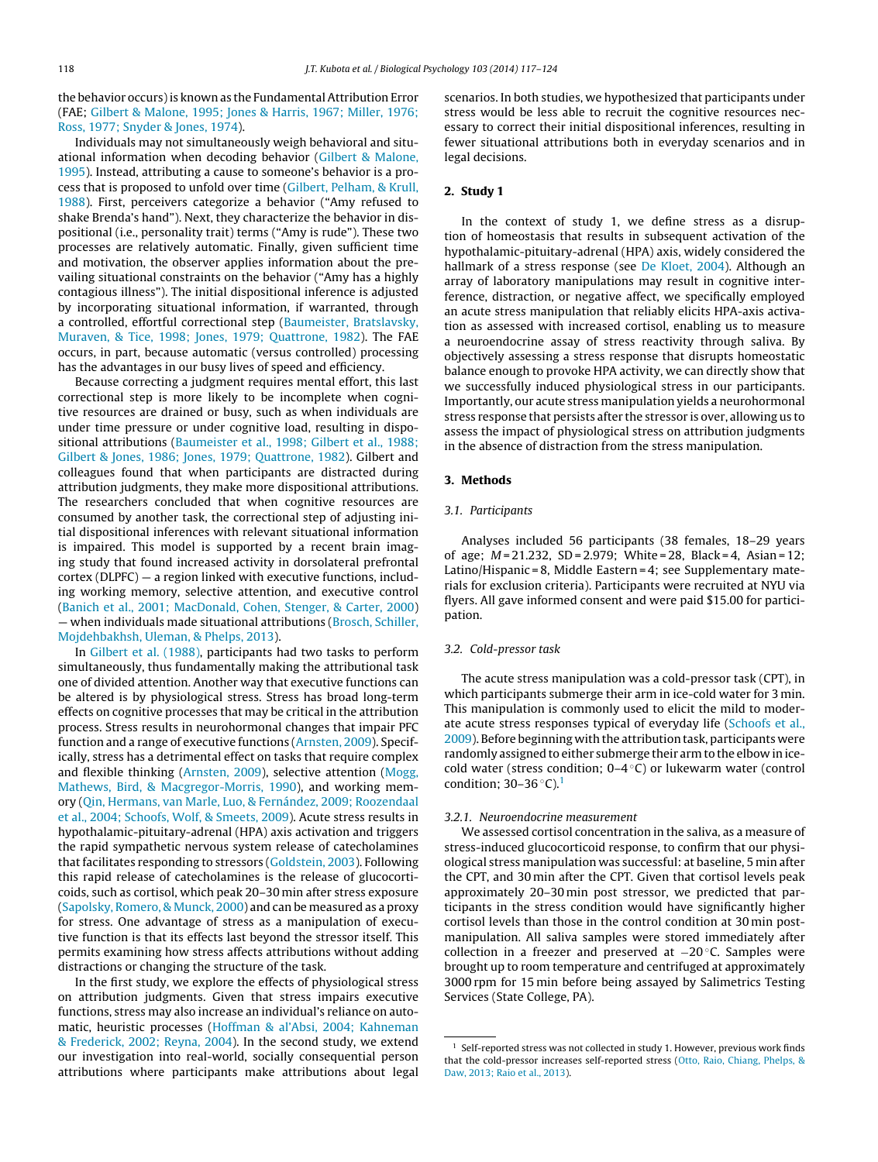the behavior occurs) is known as the Fundamental Attribution Error (FAE; [Gilbert](#page-6-0) [&](#page-6-0) [Malone,](#page-6-0) [1995;](#page-6-0) [Jones](#page-6-0) [&](#page-6-0) [Harris,](#page-6-0) [1967;](#page-6-0) [Miller,](#page-6-0) [1976;](#page-6-0) [Ross,](#page-6-0) [1977;](#page-6-0) [Snyder](#page-6-0) [&](#page-6-0) [Jones,](#page-6-0) [1974\).](#page-6-0)

Individuals may not simultaneously weigh behavioral and situational information when decoding behavior ([Gilbert](#page-6-0) [&](#page-6-0) [Malone,](#page-6-0) [1995\).](#page-6-0) Instead, attributing a cause to someone's behavior is a process that is proposed to unfold over time ([Gilbert,](#page-6-0) [Pelham,](#page-6-0) [&](#page-6-0) [Krull,](#page-6-0) [1988\).](#page-6-0) First, perceivers categorize a behavior ("Amy refused to shake Brenda's hand"). Next, they characterize the behavior in dispositional (i.e., personality trait) terms ("Amy is rude"). These two processes are relatively automatic. Finally, given sufficient time and motivation, the observer applies information about the prevailing situational constraints on the behavior ("Amy has a highly contagious illness"). The initial dispositional inference is adjusted by incorporating situational information, if warranted, through a controlled, effortful correctional step [\(Baumeister,](#page-6-0) [Bratslavsky,](#page-6-0) [Muraven,](#page-6-0) [&](#page-6-0) [Tice,](#page-6-0) [1998;](#page-6-0) [Jones,](#page-6-0) [1979;](#page-6-0) [Quattrone,](#page-6-0) [1982\).](#page-6-0) The FAE occurs, in part, because automatic (versus controlled) processing has the advantages in our busy lives of speed and efficiency.

Because correcting a judgment requires mental effort, this last correctional step is more likely to be incomplete when cognitive resources are drained or busy, such as when individuals are under time pressure or under cognitive load, resulting in dispositional attributions ([Baumeister](#page-6-0) et [al.,](#page-6-0) [1998;](#page-6-0) [Gilbert](#page-6-0) et [al.,](#page-6-0) [1988;](#page-6-0) [Gilbert](#page-6-0) [&](#page-6-0) [Jones,](#page-6-0) [1986;](#page-6-0) [Jones,](#page-6-0) [1979;](#page-6-0) [Quattrone,](#page-6-0) [1982\).](#page-6-0) Gilbert and colleagues found that when participants are distracted during attribution judgments, they make more dispositional attributions. The researchers concluded that when cognitive resources are consumed by another task, the correctional step of adjusting initial dispositional inferences with relevant situational information is impaired. This model is supported by a recent brain imaging study that found increased activity in dorsolateral prefrontal cortex (DLPFC) — a region linked with executive functions, including working memory, selective attention, and executive control ([Banich](#page-6-0) et [al.,](#page-6-0) [2001;](#page-6-0) [MacDonald,](#page-6-0) [Cohen,](#page-6-0) [Stenger,](#page-6-0) [&](#page-6-0) [Carter,](#page-6-0) [2000\)](#page-6-0) — when individuals made situational attributions [\(Brosch,](#page-6-0) [Schiller,](#page-6-0) [Mojdehbakhsh,](#page-6-0) [Uleman,](#page-6-0) [&](#page-6-0) [Phelps,](#page-6-0) [2013\).](#page-6-0)

In [Gilbert](#page-6-0) et [al.](#page-6-0) [\(1988\),](#page-6-0) participants had two tasks to perform simultaneously, thus fundamentally making the attributional task one of divided attention. Another way that executive functions can be altered is by physiological stress. Stress has broad long-term effects on cognitive processes that may be critical in the attribution process. Stress results in neurohormonal changes that impair PFC function and a range of executive functions ([Arnsten,](#page-6-0) [2009\).](#page-6-0) Specifically, stress has a detrimental effect on tasks that require complex and flexible thinking [\(Arnsten,](#page-6-0) [2009\),](#page-6-0) selective attention [\(Mogg,](#page-6-0) [Mathews,](#page-6-0) [Bird,](#page-6-0) [&](#page-6-0) [Macgregor-Morris,](#page-6-0) [1990\),](#page-6-0) and working memory [\(Qin,](#page-6-0) [Hermans,](#page-6-0) [van](#page-6-0) [Marle,](#page-6-0) [Luo,](#page-6-0) [&](#page-6-0) [Fernández,](#page-6-0) [2009;](#page-6-0) [Roozendaal](#page-6-0) et [al.,](#page-6-0) [2004;](#page-6-0) [Schoofs,](#page-6-0) [Wolf,](#page-6-0) [&](#page-6-0) [Smeets,](#page-6-0) [2009\).](#page-6-0) Acute stress results in hypothalamic-pituitary-adrenal (HPA) axis activation and triggers the rapid sympathetic nervous system release of catecholamines that facilitates responding to stressors ([Goldstein,](#page-6-0) [2003\).](#page-6-0) Following this rapid release of catecholamines is the release of glucocorticoids, such as cortisol, which peak 20–30 min after stress exposure ([Sapolsky,](#page-7-0) [Romero,](#page-7-0) [&](#page-7-0) [Munck,](#page-7-0) [2000\)](#page-7-0) and can be measured as a proxy for stress. One advantage of stress as a manipulation of executive function is that its effects last beyond the stressor itself. This permits examining how stress affects attributions without adding distractions or changing the structure of the task.

In the first study, we explore the effects of physiological stress on attribution judgments. Given that stress impairs executive functions, stress may also increase an individual's reliance on automatic, heuristic processes ([Hoffman](#page-6-0) [&](#page-6-0) [al'Absi,](#page-6-0) [2004;](#page-6-0) [Kahneman](#page-6-0) [&](#page-6-0) [Frederick,](#page-6-0) [2002;](#page-6-0) [Reyna,](#page-6-0) [2004\).](#page-6-0) In the second study, we extend our investigation into real-world, socially consequential person attributions where participants make attributions about legal

scenarios. In both studies, we hypothesized that participants under stress would be less able to recruit the cognitive resources necessary to correct their initial dispositional inferences, resulting in fewer situational attributions both in everyday scenarios and in legal decisions.

## **2. Study 1**

In the context of study 1, we define stress as a disruption of homeostasis that results in subsequent activation of the hypothalamic-pituitary-adrenal (HPA) axis, widely considered the hallmark of a stress response (see [De](#page-6-0) [Kloet,](#page-6-0) [2004\).](#page-6-0) Although an array of laboratory manipulations may result in cognitive interference, distraction, or negative affect, we specifically employed an acute stress manipulation that reliably elicits HPA-axis activation as assessed with increased cortisol, enabling us to measure a neuroendocrine assay of stress reactivity through saliva. By objectively assessing a stress response that disrupts homeostatic balance enough to provoke HPA activity, we can directly show that we successfully induced physiological stress in our participants. Importantly, our acute stress manipulation yields a neurohormonal stress response that persists after the stressor is over, allowing us to assess the impact of physiological stress on attribution judgments in the absence of distraction from the stress manipulation.

#### **3. Methods**

#### 3.1. Participants

Analyses included 56 participants (38 females, 18–29 years of age; M = 21.232, SD = 2.979; White = 28, Black = 4, Asian = 12; Latino/Hispanic = 8, Middle Eastern = 4; see Supplementary materials for exclusion criteria). Participants were recruited at NYU via flyers. All gave informed consent and were paid \$15.00 for participation.

# 3.2. Cold-pressor task

The acute stress manipulation was a cold-pressor task (CPT), in which participants submerge their arm in ice-cold water for 3 min. This manipulation is commonly used to elicit the mild to moderate acute stress responses typical of everyday life ([Schoofs](#page-7-0) et [al.,](#page-7-0) [2009\).](#page-7-0) Before beginning with the attribution task, participants were randomly assigned to either submerge their armto the elbow in icecold water (stress condition;  $0-4\degree C$ ) or lukewarm water (control condition;  $30-36$  °C).<sup>1</sup>

# 3.2.1. Neuroendocrine measurement

We assessed cortisol concentration in the saliva, as a measure of stress-induced glucocorticoid response, to confirm that our physiological stress manipulation was successful: at baseline, 5 min after the CPT, and 30 min after the CPT. Given that cortisol levels peak approximately 20–30 min post stressor, we predicted that participants in the stress condition would have significantly higher cortisol levels than those in the control condition at 30 min postmanipulation. All saliva samples were stored immediately after collection in a freezer and preserved at −20 ◦C. Samples were brought up to room temperature and centrifuged at approximately 3000 rpm for 15 min before being assayed by Salimetrics Testing Services (State College, PA).

 $^1\,$  Self-reported stress was not collected in study 1. However, previous work finds that the cold-pressor increases self-reported stress ([Otto,](#page-6-0) [Raio,](#page-6-0) [Chiang,](#page-6-0) [Phelps,](#page-6-0) [&](#page-6-0) [Daw,](#page-6-0) [2013;](#page-6-0) [Raio](#page-6-0) et [al.,](#page-6-0) [2013\).](#page-6-0)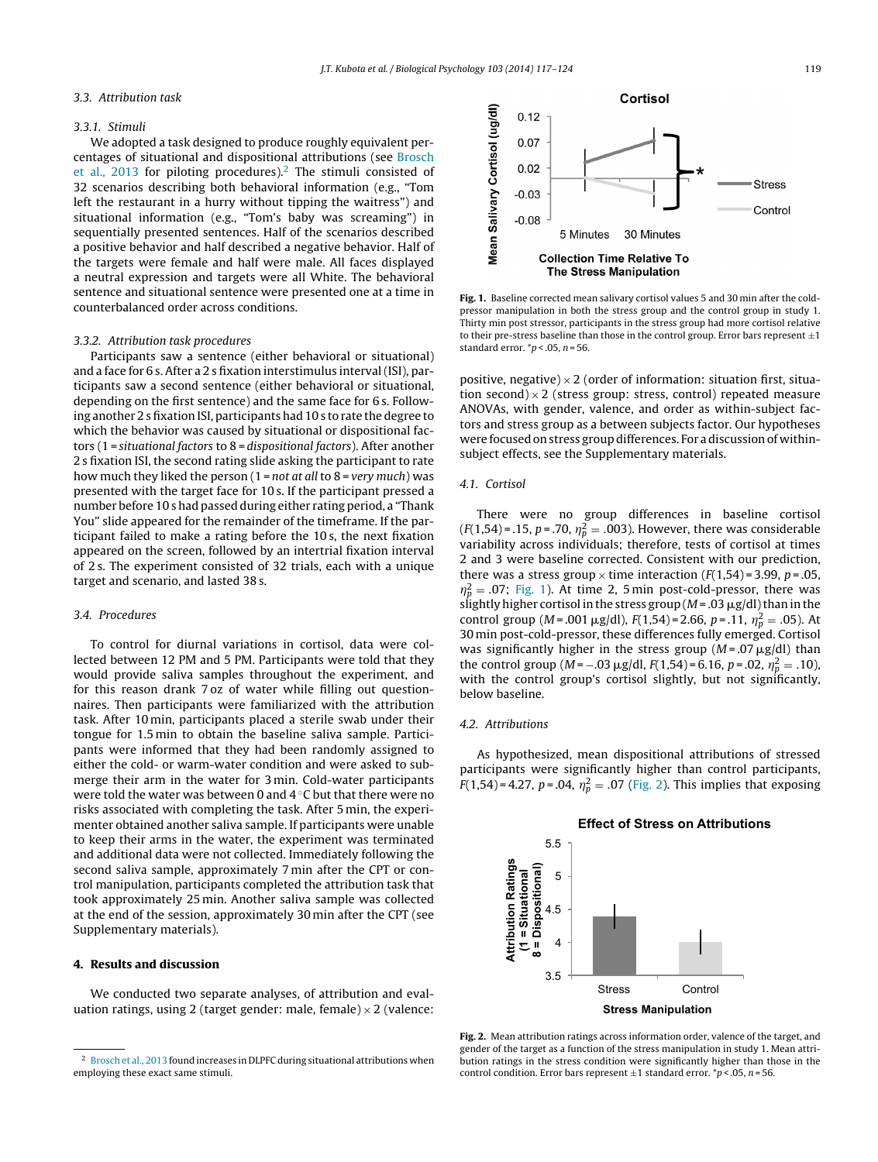## 3.3. Attribution task

#### 3.3.1. Stimuli

We adopted a task designed to produce roughly equivalent percentages of situational and dispositional attributions (see [Brosch](#page-6-0) et [al.,](#page-6-0) [2013](#page-6-0) for piloting procedures).<sup>2</sup> The stimuli consisted of 32 scenarios describing both behavioral information (e.g., "Tom left the restaurant in a hurry without tipping the waitress") and situational information (e.g., "Tom's baby was screaming") in sequentially presented sentences. Half of the scenarios described a positive behavior and half described a negative behavior. Half of the targets were female and half were male. All faces displayed a neutral expression and targets were all White. The behavioral sentence and situational sentence were presented one at a time in counterbalanced order across conditions.

#### 3.3.2. Attribution task procedures

Participants saw a sentence (either behavioral or situational) and a face for 6 s. After a 2 s fixation interstimulus interval (ISI), participants saw a second sentence (either behavioral or situational, depending on the first sentence) and the same face for 6 s. Following another 2 sfixation ISI, participants had 10 s to rate the degree to which the behavior was caused by situational or dispositional factors (1 = situational factors to 8 = dispositional factors). After another 2 s fixation ISI, the second rating slide asking the participant to rate how much they liked the person  $(1 = not at all to 8 = very much)$  was presented with the target face for 10 s. If the participant pressed a number before 10 s had passed during either rating period, a "Thank You" slide appeared for the remainder of the timeframe. If the participant failed to make a rating before the 10 s, the next fixation appeared on the screen, followed by an intertrial fixation interval of 2 s. The experiment consisted of 32 trials, each with a unique target and scenario, and lasted 38 s.

# 3.4. Procedures

To control for diurnal variations in cortisol, data were collected between 12 PM and 5 PM. Participants were told that they would provide saliva samples throughout the experiment, and for this reason drank 7 oz of water while filling out questionnaires. Then participants were familiarized with the attribution task. After 10 min, participants placed a sterile swab under their tongue for 1.5 min to obtain the baseline saliva sample. Participants were informed that they had been randomly assigned to either the cold- or warm-water condition and were asked to submerge their arm in the water for 3 min. Cold-water participants were told the water was between 0 and 4 ℃ but that there were no risks associated with completing the task. After 5 min, the experimenter obtained another saliva sample. If participants were unable to keep their arms in the water, the experiment was terminated and additional data were not collected. Immediately following the second saliva sample, approximately 7 min after the CPT or control manipulation, participants completed the attribution task that took approximately 25 min. Another saliva sample was collected at the end of the session, approximately 30 min after the CPT (see Supplementary materials).

# **4. Results and discussion**

We conducted two separate analyses, of attribution and evaluation ratings, using 2 (target gender: male, female)  $\times$  2 (valence:



**Fig. 1.** Baseline corrected mean salivary cortisol values 5 and 30 min after the coldpressor manipulation in both the stress group and the control group in study 1. Thirty min post stressor, participants in the stress group had more cortisol relative to their pre-stress baseline than those in the control group. Error bars represent  $\pm 1$ standard error.  $n \leq 0.05$ ,  $n = 56$ .

positive, negative)  $\times$  2 (order of information: situation first, situation second)  $\times$  2 (stress group: stress, control) repeated measure ANOVAs, with gender, valence, and order as within-subject factors and stress group as a between subjects factor. Our hypotheses were focused on stress group differences. For a discussion of withinsubject effects, see the Supplementary materials.

#### 4.1. Cortisol

There were no group differences in baseline cortisol  $(F(1,54) = .15, p = .70, \eta_p^2 = .003)$ . However, there was considerable variability across individuals; therefore, tests of cortisol at times 2 and 3 were baseline corrected. Consistent with our prediction, there was a stress group  $\times$  time interaction ( $F(1,54)$  = 3.99,  $p$  = .05,  $\eta_p^2$  = .07; Fig. 1). At time 2, 5 min post-cold-pressor, there was slightly higher cortisol in the stress group (M = .03  $\mu$ g/dl) than in the control group ( $M = .001 \mu g/dl$ ),  $F(1,54) = 2.66$ ,  $p = .11$ ,  $\eta_p^2 = .05$ ). At 30 min post-cold-pressor, these differences fully emerged. Cortisol was significantly higher in the stress group ( $M = .07 \mu g/dl$ ) than the control group ( $M = -.03 \mu g/dl$ ,  $F(1,54) = 6.16$ ,  $p = .02$ ,  $\eta_p^2 = .10$ ), with the control group's cortisol slightly, but not significantly, below baseline.

#### 4.2. Attributions

As hypothesized, mean dispositional attributions of stressed participants were significantly higher than control participants,  $F(1,54) = 4.27$ ,  $p = .04$ ,  $\eta_p^2 = .07$  (Fig. 2). This implies that exposing



**Fig. 2.** Mean attribution ratings across information order, valence of the target, and gender of the target as a function of the stress manipulation in study 1. Mean attribution ratings in the stress condition were significantly higher than those in the control condition. Error bars represent  $\pm 1$  standard error.  $\gamma p < 0.05$ , n = 56.

<sup>2</sup> [Brosch](#page-6-0) et [al.,](#page-6-0) [2013](#page-6-0) found increases in DLPFC during situational attributions when employing these exact same stimuli.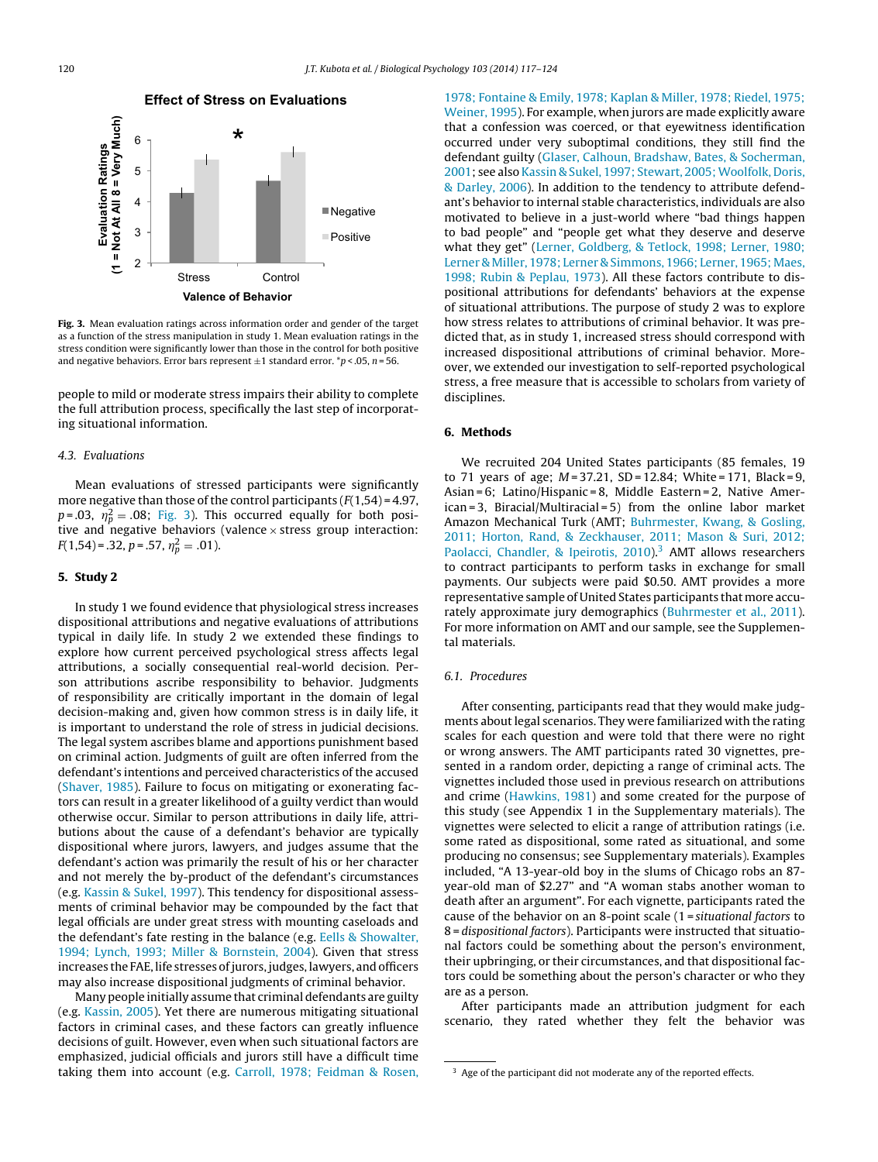

**Fig. 3.** Mean evaluation ratings across information order and gender of the target as a function of the stress manipulation in study 1. Mean evaluation ratings in the stress condition were significantly lower than those in the control for both positive and negative behaviors. Error bars represent  $\pm 1$  standard error. \*p < .05, n = 56.

people to mild or moderate stress impairs their ability to complete the full attribution process, specifically the last step of incorporating situational information.

#### 4.3. Evaluations

Mean evaluations of stressed participants were significantly more negative than those of the control participants  $(F(1,54) = 4.97,$  $p = .03$ ,  $\eta_p^2 = .08$ ; Fig. 3). This occurred equally for both positive and negative behaviors (valence  $\times$  stress group interaction:  $F(1,54) = .32, p = .57, \eta_p^2 = .01$ ).

## **5. Study 2**

In study 1 we found evidence that physiological stress increases dispositional attributions and negative evaluations of attributions typical in daily life. In study 2 we extended these findings to explore how current perceived psychological stress affects legal attributions, a socially consequential real-world decision. Person attributions ascribe responsibility to behavior. Judgments of responsibility are critically important in the domain of legal decision-making and, given how common stress is in daily life, it is important to understand the role of stress in judicial decisions. The legal system ascribes blame and apportions punishment based on criminal action. Judgments of guilt are often inferred from the defendant's intentions and perceived characteristics of the accused ([Shaver,](#page-7-0) [1985\).](#page-7-0) Failure to focus on mitigating or exonerating factors can result in a greater likelihood of a guilty verdict than would otherwise occur. Similar to person attributions in daily life, attributions about the cause of a defendant's behavior are typically dispositional where jurors, lawyers, and judges assume that the defendant's action was primarily the result of his or her character and not merely the by-product of the defendant's circumstances (e.g. [Kassin](#page-6-0) [&](#page-6-0) [Sukel,](#page-6-0) [1997\).](#page-6-0) This tendency for dispositional assessments of criminal behavior may be compounded by the fact that legal officials are under great stress with mounting caseloads and the defendant's fate resting in the balance (e.g. [Eells](#page-6-0) [&](#page-6-0) [Showalter,](#page-6-0) [1994;](#page-6-0) [Lynch,](#page-6-0) [1993;](#page-6-0) [Miller](#page-6-0) [&](#page-6-0) [Bornstein,](#page-6-0) [2004\).](#page-6-0) Given that stress increases the FAE, life stresses of jurors, judges, lawyers, and officers may also increase dispositional judgments of criminal behavior.

Many people initially assume that criminal defendants are guilty (e.g. [Kassin,](#page-6-0) [2005\).](#page-6-0) Yet there are numerous mitigating situational factors in criminal cases, and these factors can greatly influence decisions of guilt. However, even when such situational factors are emphasized, judicial officials and jurors still have a difficult time taking them into account (e.g. [Carroll,](#page-6-0) [1978;](#page-6-0) [Feidman](#page-6-0) [&](#page-6-0) [Rosen,](#page-6-0)

[1978;](#page-6-0) [Fontaine](#page-6-0) [&](#page-6-0) [Emily,](#page-6-0) [1978;](#page-6-0) [Kaplan](#page-6-0) [&](#page-6-0) [Miller,](#page-6-0) [1978;](#page-6-0) [Riedel,](#page-6-0) [1975;](#page-6-0) [Weiner,](#page-6-0) [1995\).](#page-6-0) For example, when jurors are made explicitly aware that a confession was coerced, or that eyewitness identification occurred under very suboptimal conditions, they still find the defendant guilty ([Glaser,](#page-6-0) [Calhoun,](#page-6-0) [Bradshaw,](#page-6-0) [Bates,](#page-6-0) [&](#page-6-0) [Socherman,](#page-6-0) [2001;](#page-6-0) see also [Kassin](#page-6-0) [&](#page-6-0) [Sukel,](#page-6-0) [1997;](#page-6-0) [Stewart,](#page-6-0) 2005; Woolfolk, [Doris,](#page-6-0) [&](#page-6-0) [Darley,](#page-6-0) [2006\).](#page-6-0) In addition to the tendency to attribute defendant's behavior to internal stable characteristics, individuals are also motivated to believe in a just-world where "bad things happen to bad people" and "people get what they deserve and deserve what they get" [\(Lerner,](#page-6-0) [Goldberg,](#page-6-0) [&](#page-6-0) [Tetlock,](#page-6-0) [1998;](#page-6-0) [Lerner,](#page-6-0) [1980;](#page-6-0) [Lerner](#page-6-0) [&](#page-6-0) [Miller,](#page-6-0) [1978;](#page-6-0) [Lerner](#page-6-0) [&](#page-6-0) [Simmons,](#page-6-0) [1966;](#page-6-0) [Lerner,](#page-6-0) [1965;](#page-6-0) [Maes,](#page-6-0) [1998;](#page-6-0) [Rubin](#page-6-0) [&](#page-6-0) [Peplau,](#page-6-0) [1973\).](#page-6-0) All these factors contribute to dispositional attributions for defendants' behaviors at the expense of situational attributions. The purpose of study 2 was to explore how stress relates to attributions of criminal behavior. It was predicted that, as in study 1, increased stress should correspond with increased dispositional attributions of criminal behavior. Moreover, we extended our investigation to self-reported psychological stress, a free measure that is accessible to scholars from variety of disciplines.

#### **6. Methods**

We recruited 204 United States participants (85 females, 19 to 71 years of age; M = 37.21, SD = 12.84; White = 171, Black = 9, Asian = 6; Latino/Hispanic = 8, Middle Eastern = 2, Native American = 3, Biracial/Multiracial = 5) from the online labor market Amazon Mechanical Turk (AMT; [Buhrmester,](#page-6-0) [Kwang,](#page-6-0) [&](#page-6-0) [Gosling,](#page-6-0) [2011;](#page-6-0) [Horton,](#page-6-0) [Rand,](#page-6-0) [&](#page-6-0) [Zeckhauser,](#page-6-0) [2011;](#page-6-0) [Mason](#page-6-0) [&](#page-6-0) [Suri,](#page-6-0) [2012;](#page-6-0) [Paolacci,](#page-6-0) [Chandler,](#page-6-0) [&](#page-6-0) [Ipeirotis,](#page-6-0) [2010\).](#page-6-0)<sup>3</sup> AMT allows researchers to contract participants to perform tasks in exchange for small payments. Our subjects were paid \$0.50. AMT provides a more representative sample of United States participants that more accurately approximate jury demographics ([Buhrmester](#page-6-0) et [al.,](#page-6-0) [2011\).](#page-6-0) For more information on AMT and our sample, see the Supplemental materials.

#### 6.1. Procedures

After consenting, participants read that they would make judgments about legal scenarios. They were familiarized with the rating scales for each question and were told that there were no right or wrong answers. The AMT participants rated 30 vignettes, presented in a random order, depicting a range of criminal acts. The vignettes included those used in previous research on attributions and crime ([Hawkins,](#page-6-0) [1981\)](#page-6-0) and some created for the purpose of this study (see Appendix 1 in the Supplementary materials). The vignettes were selected to elicit a range of attribution ratings (i.e. some rated as dispositional, some rated as situational, and some producing no consensus; see Supplementary materials). Examples included, "A 13-year-old boy in the slums of Chicago robs an 87 year-old man of \$2.27" and "A woman stabs another woman to death after an argument". For each vignette, participants rated the cause of the behavior on an 8-point scale (1 = situational factors to 8 = dispositional factors). Participants were instructed that situational factors could be something about the person's environment, their upbringing, or their circumstances, and that dispositional factors could be something about the person's character or who they are as a person.

After participants made an attribution judgment for each scenario, they rated whether they felt the behavior was

<sup>&</sup>lt;sup>3</sup> Age of the participant did not moderate any of the reported effects.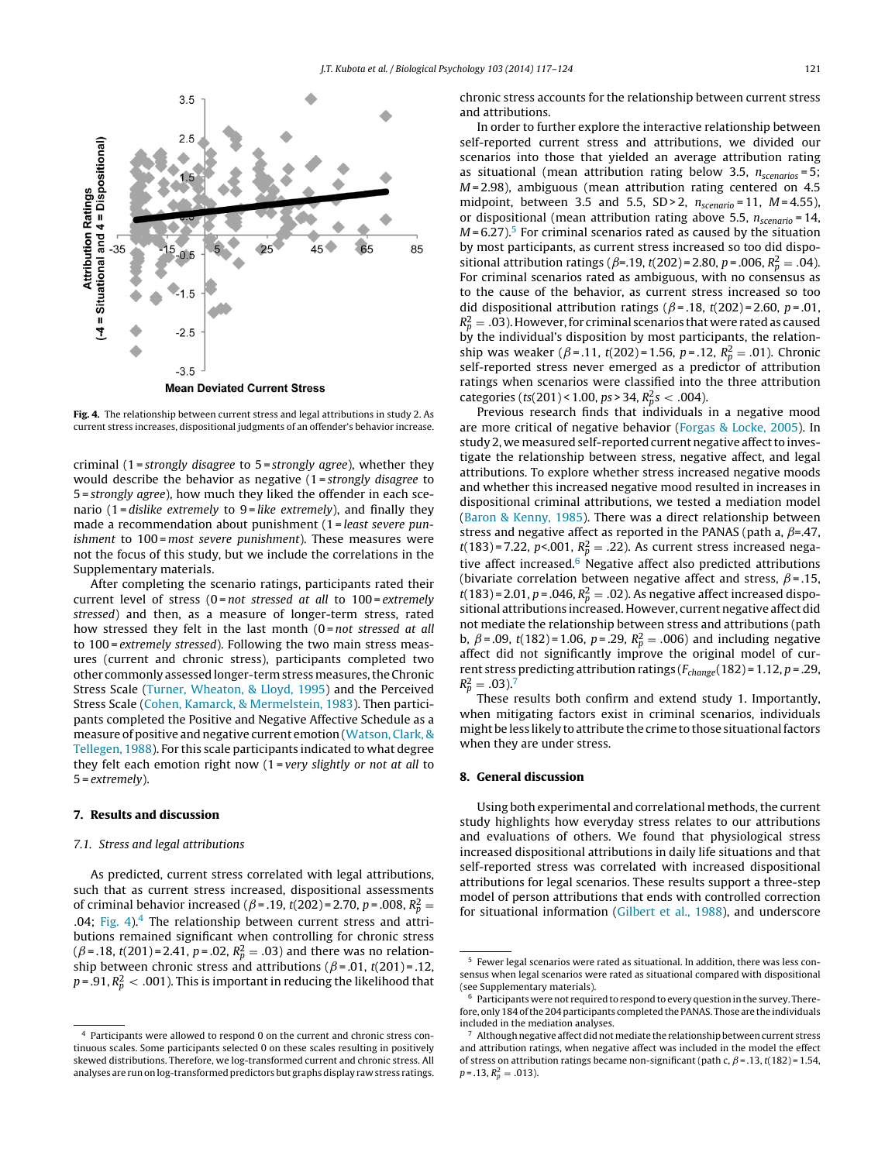

**Fig. 4.** The relationship between current stress and legal attributions in study 2. As current stress increases, dispositional judgments of an offender's behavior increase.

criminal (1=strongly disagree to 5=strongly agree), whether they would describe the behavior as negative (1=strongly disagree to 5 = strongly agree), how much they liked the offender in each scenario (1 = dislike extremely to  $9$  = like extremely), and finally they made a recommendation about punishment (1 = least severe punishment to 100 = most severe punishment). These measures were not the focus of this study, but we include the correlations in the Supplementary materials.

After completing the scenario ratings, participants rated their current level of stress ( $0$ = not stressed at all to  $100$ = extremely stressed) and then, as a measure of longer-term stress, rated how stressed they felt in the last month  $(0 = not$  stressed at all to 100 = extremely stressed). Following the two main stress measures (current and chronic stress), participants completed two other commonly assessed longer-term stress measures, the Chronic Stress Scale ([Turner,](#page-7-0) [Wheaton,](#page-7-0) [&](#page-7-0) [Lloyd,](#page-7-0) [1995\)](#page-7-0) and the Perceived Stress Scale [\(Cohen,](#page-6-0) [Kamarck,](#page-6-0) [&](#page-6-0) [Mermelstein,](#page-6-0) [1983\).](#page-6-0) Then participants completed the Positive and Negative Affective Schedule as a measure of positive and negative current emotion ([Watson,](#page-7-0) [Clark,](#page-7-0) [&](#page-7-0) [Tellegen,](#page-7-0) [1988\).](#page-7-0) For this scale participants indicated to what degree they felt each emotion right now  $(1 = very$  slightly or not at all to  $5 = extremely$ ).

#### **7. Results and discussion**

#### 7.1. Stress and legal attributions

As predicted, current stress correlated with legal attributions, such that as current stress increased, dispositional assessments of criminal behavior increased ( $\beta$ =.19, t(202)=2.70, p=.008,  $R_p^2$  = .04; Fig. 4). $4$  The relationship between current stress and attributions remained significant when controlling for chronic stress  $(\beta = .18, t(201) = 2.41, p = .02, R_p^2 = .03)$  and there was no relationship between chronic stress and attributions ( $\beta$ =.01, t(201)=.12, p = .91,  $R_p^2 < \,$  .001). This is important in reducing the likelihood that chronic stress accounts for the relationship between current stress and attributions.

In order to further explore the interactive relationship between self-reported current stress and attributions, we divided our scenarios into those that yielded an average attribution rating as situational (mean attribution rating below 3.5,  $n_{scenarios} = 5$ ;  $M = 2.98$ ), ambiguous (mean attribution rating centered on 4.5 midpoint, between 3.5 and 5.5,  $SD > 2$ ,  $n_{scenario} = 11$ ,  $M = 4.55$ ), or dispositional (mean attribution rating above 5.5,  $n_{\text{scenario}} = 14$ ,  $M = 6.27$ ).<sup>5</sup> For criminal scenarios rated as caused by the situation by most participants, as current stress increased so too did dispositional attribution ratings ( $\beta$ =.19, t(202) = 2.80, p = .006,  $R_p^2 = .04$ ). For criminal scenarios rated as ambiguous, with no consensus as to the cause of the behavior, as current stress increased so too did dispositional attribution ratings ( $\beta$ =.18, t(202)=2.60, p=.01,  $R_p^2 = .03$  ). However, for criminal scenarios that were rated as caused by the individual's disposition by most participants, the relationship was weaker ( $\beta$ =.11, t(202)=1.56, p=.12,  $R_p^2 = .01$ ). Chronic self-reported stress never emerged as a predictor of attribution ratings when scenarios were classified into the three attribution categories (ts(201) < 1.00, ps > 34,  $R_p^2$ s < .004).

Previous research finds that individuals in a negative mood are more critical of negative behavior ([Forgas](#page-6-0) [&](#page-6-0) [Locke,](#page-6-0) [2005\).](#page-6-0) In study 2, we measured self-reported current negative affect to investigate the relationship between stress, negative affect, and legal attributions. To explore whether stress increased negative moods and whether this increased negative mood resulted in increases in dispositional criminal attributions, we tested a mediation model [\(Baron](#page-6-0) [&](#page-6-0) [Kenny,](#page-6-0) [1985\).](#page-6-0) There was a direct relationship between stress and negative affect as reported in the PANAS (path a,  $\beta$ =.47,  $t(183)$  = 7.22, p < 0.001,  $R_p^2 = .22$ ). As current stress increased negative affect increased. $6$  Negative affect also predicted attributions (bivariate correlation between negative affect and stress,  $\beta$ =.15,  $t(183)$  = 2.01, p = .046,  $R_p^2 = .02$ ). As negative affect increased dispositional attributions increased. However, current negative affect did not mediate the relationship between stress and attributions (path b,  $\beta$  = .09, t(182) = 1.06, p = .29,  $R_p^2$  = .006) and including negative affect did not significantly improve the original model of current stress predicting attribution ratings ( $F_{change}$ (182) = 1.12, p = .29,  $R_p^2 = .03$ ).<sup>7</sup>

These results both confirm and extend study 1. Importantly, when mitigating factors exist in criminal scenarios, individuals might be less likely to attribute the crime to those situational factors when they are under stress.

#### **8. General discussion**

Using both experimental and correlational methods, the current study highlights how everyday stress relates to our attributions and evaluations of others. We found that physiological stress increased dispositional attributions in daily life situations and that self-reported stress was correlated with increased dispositional attributions for legal scenarios. These results support a three-step model of person attributions that ends with controlled correction for situational information ([Gilbert](#page-6-0) et [al.,](#page-6-0) [1988\),](#page-6-0) and underscore

<sup>4</sup> Participants were allowed to respond 0 on the current and chronic stress continuous scales. Some participants selected 0 on these scales resulting in positively skewed distributions. Therefore, we log-transformed current and chronic stress. All analyses are run on log-transformed predictors but graphs display raw stress ratings.

<sup>5</sup> Fewer legal scenarios were rated as situational. In addition, there was less consensus when legal scenarios were rated as situational compared with dispositional (see Supplementary materials).

 $6<sup>6</sup>$  Participants were not required to respond to every question in the survey. Therefore, only 184 of the 204 participants completed the PANAS. Those are the individuals included in the mediation analyses.

Although negative affect did not mediate the relationship between current stress and attribution ratings, when negative affect was included in the model the effect of stress on attribution ratings became non-significant (path c,  $\beta$  = .13, t(182) = 1.54,  $p = .13, R_p^2 = .013$ ).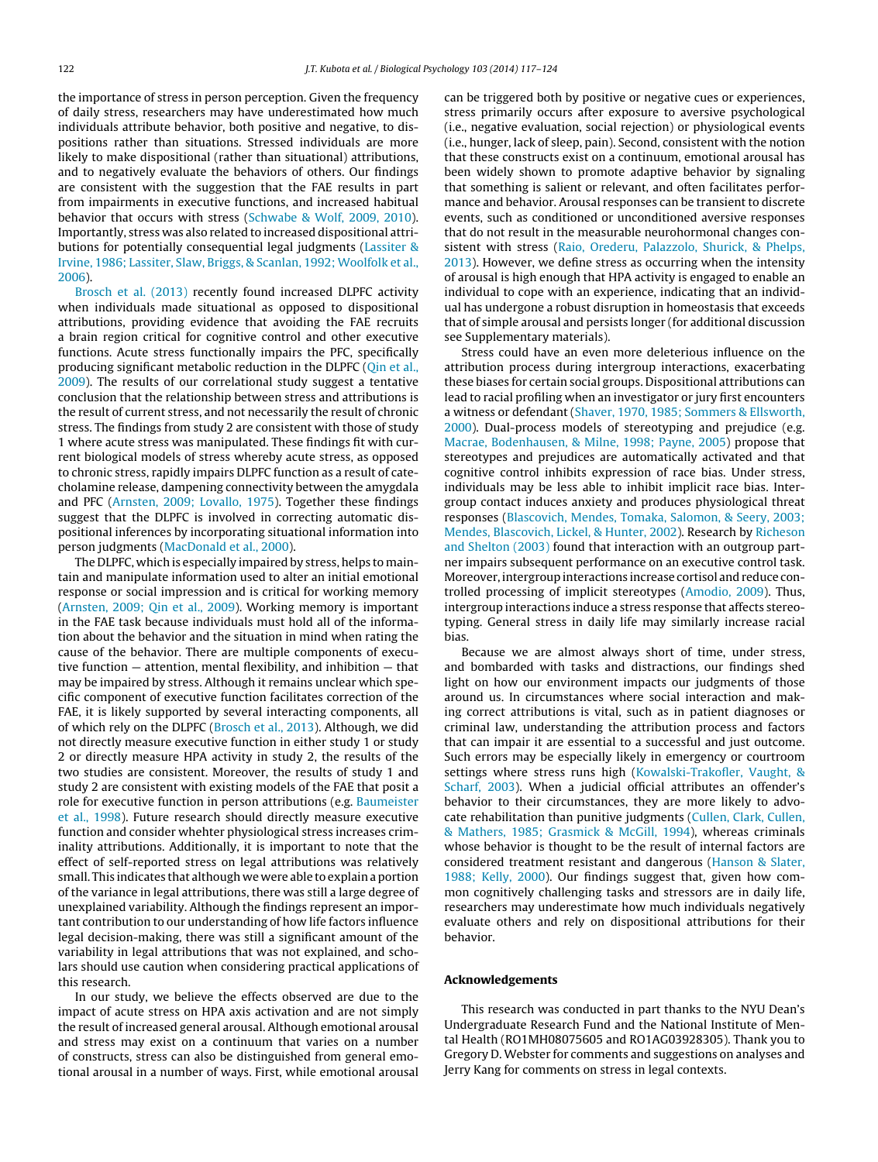the importance of stress in person perception. Given the frequency of daily stress, researchers may have underestimated how much individuals attribute behavior, both positive and negative, to dispositions rather than situations. Stressed individuals are more likely to make dispositional (rather than situational) attributions, and to negatively evaluate the behaviors of others. Our findings are consistent with the suggestion that the FAE results in part from impairments in executive functions, and increased habitual behavior that occurs with stress ([Schwabe](#page-7-0) [&](#page-7-0) [Wolf,](#page-7-0) [2009,](#page-7-0) [2010\).](#page-7-0) Importantly, stress was also related to increased dispositional attributions for potentially consequential legal judgments ([Lassiter](#page-6-0) [&](#page-6-0) [Irvine,](#page-6-0) [1986;](#page-6-0) [Lassiter,](#page-6-0) [Slaw,](#page-6-0) [Briggs,](#page-6-0) [&](#page-6-0) [Scanlan,](#page-6-0) [1992;](#page-6-0) [Woolfolk](#page-6-0) et [al.,](#page-6-0) [2006\).](#page-6-0)

[Brosch](#page-6-0) et [al.](#page-6-0) [\(2013\)](#page-6-0) recently found increased DLPFC activity when individuals made situational as opposed to dispositional attributions, providing evidence that avoiding the FAE recruits a brain region critical for cognitive control and other executive functions. Acute stress functionally impairs the PFC, specifically producing significant metabolic reduction in the DLPFC ([Qin](#page-6-0) et [al.,](#page-6-0) [2009\).](#page-6-0) The results of our correlational study suggest a tentative conclusion that the relationship between stress and attributions is the result of current stress, and not necessarily the result of chronic stress. The findings from study 2 are consistent with those of study 1 where acute stress was manipulated. These findings fit with current biological models of stress whereby acute stress, as opposed to chronic stress, rapidly impairs DLPFC function as a result of catecholamine release, dampening connectivity between the amygdala and PFC ([Arnsten,](#page-6-0) [2009;](#page-6-0) [Lovallo,](#page-6-0) [1975\).](#page-6-0) Together these findings suggest that the DLPFC is involved in correcting automatic dispositional inferences by incorporating situational information into person judgments [\(MacDonald](#page-6-0) et [al.,](#page-6-0) [2000\).](#page-6-0)

The DLPFC, which is especially impaired by stress, helps to maintain and manipulate information used to alter an initial emotional response or social impression and is critical for working memory ([Arnsten,](#page-6-0) [2009;](#page-6-0) [Qin](#page-6-0) et [al.,](#page-6-0) [2009\).](#page-6-0) Working memory is important in the FAE task because individuals must hold all of the information about the behavior and the situation in mind when rating the cause of the behavior. There are multiple components of executive function — attention, mental flexibility, and inhibition — that may be impaired by stress. Although it remains unclear which specific component of executive function facilitates correction of the FAE, it is likely supported by several interacting components, all of which rely on the DLPFC ([Brosch](#page-6-0) et [al.,](#page-6-0) [2013\).](#page-6-0) Although, we did not directly measure executive function in either study 1 or study 2 or directly measure HPA activity in study 2, the results of the two studies are consistent. Moreover, the results of study 1 and study 2 are consistent with existing models of the FAE that posit a role for executive function in person attributions (e.g. [Baumeister](#page-6-0) et [al.,](#page-6-0) [1998\).](#page-6-0) Future research should directly measure executive function and consider whehter physiological stress increases criminality attributions. Additionally, it is important to note that the effect of self-reported stress on legal attributions was relatively small. This indicates that although we were able to explain a portion of the variance in legal attributions, there was still a large degree of unexplained variability. Although the findings represent an important contribution to our understanding of how life factors influence legal decision-making, there was still a significant amount of the variability in legal attributions that was not explained, and scholars should use caution when considering practical applications of this research.

In our study, we believe the effects observed are due to the impact of acute stress on HPA axis activation and are not simply the result of increased general arousal. Although emotional arousal and stress may exist on a continuum that varies on a number of constructs, stress can also be distinguished from general emotional arousal in a number of ways. First, while emotional arousal can be triggered both by positive or negative cues or experiences, stress primarily occurs after exposure to aversive psychological (i.e., negative evaluation, social rejection) or physiological events (i.e., hunger, lack of sleep, pain). Second, consistent with the notion that these constructs exist on a continuum, emotional arousal has been widely shown to promote adaptive behavior by signaling that something is salient or relevant, and often facilitates performance and behavior. Arousal responses can be transient to discrete events, such as conditioned or unconditioned aversive responses that do not result in the measurable neurohormonal changes consistent with stress ([Raio,](#page-6-0) [Orederu,](#page-6-0) [Palazzolo,](#page-6-0) [Shurick,](#page-6-0) [&](#page-6-0) [Phelps,](#page-6-0) [2013\).](#page-6-0) However, we define stress as occurring when the intensity of arousal is high enough that HPA activity is engaged to enable an individual to cope with an experience, indicating that an individual has undergone a robust disruption in homeostasis that exceeds that of simple arousal and persists longer (for additional discussion see Supplementary materials).

Stress could have an even more deleterious influence on the attribution process during intergroup interactions, exacerbating these biases for certain social groups. Dispositional attributions can lead to racial profiling when an investigator or jury first encounters a witness or defendant [\(Shaver,](#page-7-0) [1970,](#page-7-0) [1985;](#page-7-0) [Sommers](#page-7-0) [&](#page-7-0) [Ellsworth,](#page-7-0) [2000\).](#page-7-0) Dual-process models of stereotyping and prejudice (e.g. [Macrae,](#page-6-0) [Bodenhausen,](#page-6-0) [&](#page-6-0) [Milne,](#page-6-0) [1998;](#page-6-0) [Payne,](#page-6-0) [2005\)](#page-6-0) propose that stereotypes and prejudices are automatically activated and that cognitive control inhibits expression of race bias. Under stress, individuals may be less able to inhibit implicit race bias. Intergroup contact induces anxiety and produces physiological threat responses ([Blascovich,](#page-6-0) [Mendes,](#page-6-0) [Tomaka,](#page-6-0) [Salomon,](#page-6-0) [&](#page-6-0) [Seery,](#page-6-0) [2003;](#page-6-0) [Mendes,](#page-6-0) [Blascovich,](#page-6-0) [Lickel,](#page-6-0) [&](#page-6-0) [Hunter,](#page-6-0) [2002\).](#page-6-0) Research by [Richeson](#page-6-0) [and](#page-6-0) [Shelton](#page-6-0) [\(2003\)](#page-6-0) found that interaction with an outgroup partner impairs subsequent performance on an executive control task. Moreover, intergroup interactions increase cortisol and reduce controlled processing of implicit stereotypes ([Amodio,](#page-6-0) [2009\).](#page-6-0) Thus, intergroup interactions induce a stress response that affects stereotyping. General stress in daily life may similarly increase racial bias.

Because we are almost always short of time, under stress, and bombarded with tasks and distractions, our findings shed light on how our environment impacts our judgments of those around us. In circumstances where social interaction and making correct attributions is vital, such as in patient diagnoses or criminal law, understanding the attribution process and factors that can impair it are essential to a successful and just outcome. Such errors may be especially likely in emergency or courtroom settings where stress runs high [\(Kowalski-Trakofler,](#page-6-0) [Vaught,](#page-6-0) [&](#page-6-0) [Scharf,](#page-6-0) [2003\).](#page-6-0) When a judicial official attributes an offender's behavior to their circumstances, they are more likely to advocate rehabilitation than punitive judgments [\(Cullen,](#page-6-0) [Clark,](#page-6-0) [Cullen,](#page-6-0) [&](#page-6-0) [Mathers,](#page-6-0) [1985;](#page-6-0) [Grasmick](#page-6-0) [&](#page-6-0) [McGill,](#page-6-0) [1994\),](#page-6-0) whereas criminals whose behavior is thought to be the result of internal factors are considered treatment resistant and dangerous ([Hanson](#page-6-0) [&](#page-6-0) [Slater,](#page-6-0) [1988;](#page-6-0) [Kelly,](#page-6-0) [2000\).](#page-6-0) Our findings suggest that, given how common cognitively challenging tasks and stressors are in daily life, researchers may underestimate how much individuals negatively evaluate others and rely on dispositional attributions for their behavior.

#### **Acknowledgements**

This research was conducted in part thanks to the NYU Dean's Undergraduate Research Fund and the National Institute of Mental Health (RO1MH08075605 and RO1AG03928305). Thank you to Gregory D. Webster for comments and suggestions on analyses and Jerry Kang for comments on stress in legal contexts.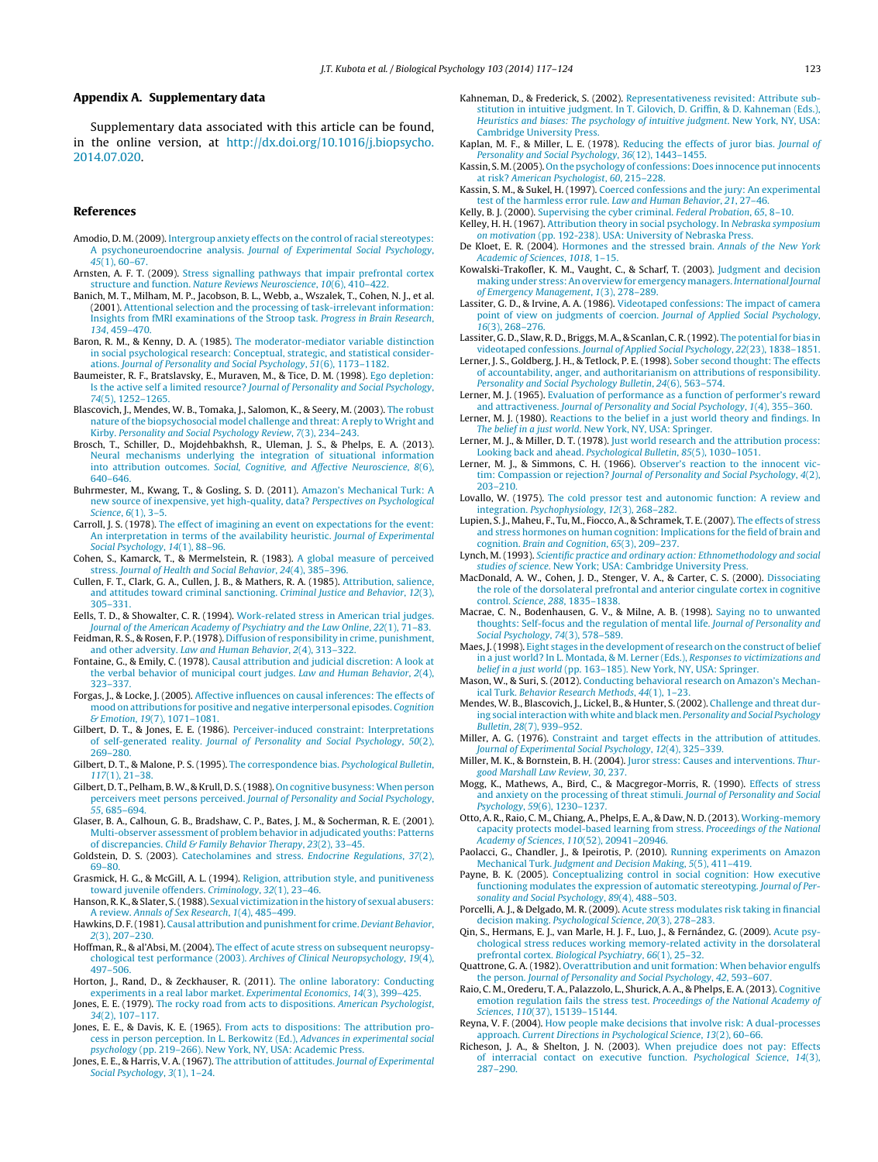#### <span id="page-6-0"></span>**Appendix A. Supplementary data**

Supplementary data associated with this article can be found, in the online version, at [http://dx.doi.org/10.1016/j.biopsycho.](http://dx.doi.org/10.1016/j.biopsycho.2014.07.020) [2014.07.020.](http://dx.doi.org/10.1016/j.biopsycho.2014.07.020)

#### **References**

- Amodio, D. M.(2009). [Intergroup](http://refhub.elsevier.com/S0301-0511(14)00167-7/sbref0005) [anxiety](http://refhub.elsevier.com/S0301-0511(14)00167-7/sbref0005) [effects](http://refhub.elsevier.com/S0301-0511(14)00167-7/sbref0005) [on](http://refhub.elsevier.com/S0301-0511(14)00167-7/sbref0005) [the](http://refhub.elsevier.com/S0301-0511(14)00167-7/sbref0005) [control](http://refhub.elsevier.com/S0301-0511(14)00167-7/sbref0005) [of](http://refhub.elsevier.com/S0301-0511(14)00167-7/sbref0005) [racial](http://refhub.elsevier.com/S0301-0511(14)00167-7/sbref0005) [stereotypes:](http://refhub.elsevier.com/S0301-0511(14)00167-7/sbref0005) [A](http://refhub.elsevier.com/S0301-0511(14)00167-7/sbref0005) [psychoneuroendocrine](http://refhub.elsevier.com/S0301-0511(14)00167-7/sbref0005) [analysis.](http://refhub.elsevier.com/S0301-0511(14)00167-7/sbref0005) [Journal](http://refhub.elsevier.com/S0301-0511(14)00167-7/sbref0005) [of](http://refhub.elsevier.com/S0301-0511(14)00167-7/sbref0005) [Experimental](http://refhub.elsevier.com/S0301-0511(14)00167-7/sbref0005) [Social](http://refhub.elsevier.com/S0301-0511(14)00167-7/sbref0005) [Psychology](http://refhub.elsevier.com/S0301-0511(14)00167-7/sbref0005)[,](http://refhub.elsevier.com/S0301-0511(14)00167-7/sbref0005) [45](http://refhub.elsevier.com/S0301-0511(14)00167-7/sbref0005)[\(1\),](http://refhub.elsevier.com/S0301-0511(14)00167-7/sbref0005) [60](http://refhub.elsevier.com/S0301-0511(14)00167-7/sbref0005)–[67.](http://refhub.elsevier.com/S0301-0511(14)00167-7/sbref0005)
- Arnsten, A. F. T. (2009). [Stress](http://refhub.elsevier.com/S0301-0511(14)00167-7/sbref0010) [signalling](http://refhub.elsevier.com/S0301-0511(14)00167-7/sbref0010) [pathways](http://refhub.elsevier.com/S0301-0511(14)00167-7/sbref0010) [that](http://refhub.elsevier.com/S0301-0511(14)00167-7/sbref0010) [impair](http://refhub.elsevier.com/S0301-0511(14)00167-7/sbref0010) [prefrontal](http://refhub.elsevier.com/S0301-0511(14)00167-7/sbref0010) [cortex](http://refhub.elsevier.com/S0301-0511(14)00167-7/sbref0010) [structure](http://refhub.elsevier.com/S0301-0511(14)00167-7/sbref0010) [and](http://refhub.elsevier.com/S0301-0511(14)00167-7/sbref0010) [function.](http://refhub.elsevier.com/S0301-0511(14)00167-7/sbref0010) [Nature](http://refhub.elsevier.com/S0301-0511(14)00167-7/sbref0010) [Reviews](http://refhub.elsevier.com/S0301-0511(14)00167-7/sbref0010) [Neuroscience](http://refhub.elsevier.com/S0301-0511(14)00167-7/sbref0010)[,](http://refhub.elsevier.com/S0301-0511(14)00167-7/sbref0010) [10](http://refhub.elsevier.com/S0301-0511(14)00167-7/sbref0010)[\(6\),](http://refhub.elsevier.com/S0301-0511(14)00167-7/sbref0010) [410–422.](http://refhub.elsevier.com/S0301-0511(14)00167-7/sbref0010)
- Banich, M. T., Milham, M. P., Jacobson, B. L., Webb, a., Wszalek, T., Cohen, N. J., et al. (2001). [Attentional](http://refhub.elsevier.com/S0301-0511(14)00167-7/sbref0015) [selection](http://refhub.elsevier.com/S0301-0511(14)00167-7/sbref0015) [and](http://refhub.elsevier.com/S0301-0511(14)00167-7/sbref0015) [the](http://refhub.elsevier.com/S0301-0511(14)00167-7/sbref0015) [processing](http://refhub.elsevier.com/S0301-0511(14)00167-7/sbref0015) [of](http://refhub.elsevier.com/S0301-0511(14)00167-7/sbref0015) [task-irrelevant](http://refhub.elsevier.com/S0301-0511(14)00167-7/sbref0015) [information:](http://refhub.elsevier.com/S0301-0511(14)00167-7/sbref0015) [Insights](http://refhub.elsevier.com/S0301-0511(14)00167-7/sbref0015) [from](http://refhub.elsevier.com/S0301-0511(14)00167-7/sbref0015) [fMRI](http://refhub.elsevier.com/S0301-0511(14)00167-7/sbref0015) [examinations](http://refhub.elsevier.com/S0301-0511(14)00167-7/sbref0015) [of](http://refhub.elsevier.com/S0301-0511(14)00167-7/sbref0015) [the](http://refhub.elsevier.com/S0301-0511(14)00167-7/sbref0015) [Stroop](http://refhub.elsevier.com/S0301-0511(14)00167-7/sbref0015) [task.](http://refhub.elsevier.com/S0301-0511(14)00167-7/sbref0015) [Progress](http://refhub.elsevier.com/S0301-0511(14)00167-7/sbref0015) [in](http://refhub.elsevier.com/S0301-0511(14)00167-7/sbref0015) [Brain](http://refhub.elsevier.com/S0301-0511(14)00167-7/sbref0015) [Research](http://refhub.elsevier.com/S0301-0511(14)00167-7/sbref0015)[,](http://refhub.elsevier.com/S0301-0511(14)00167-7/sbref0015) [134](http://refhub.elsevier.com/S0301-0511(14)00167-7/sbref0015)[,](http://refhub.elsevier.com/S0301-0511(14)00167-7/sbref0015) [459–470.](http://refhub.elsevier.com/S0301-0511(14)00167-7/sbref0015)
- Baron, R. M., & Kenny, D. A. (1985). [The](http://refhub.elsevier.com/S0301-0511(14)00167-7/sbref0020) [moderator-mediator](http://refhub.elsevier.com/S0301-0511(14)00167-7/sbref0020) [variable](http://refhub.elsevier.com/S0301-0511(14)00167-7/sbref0020) [distinction](http://refhub.elsevier.com/S0301-0511(14)00167-7/sbref0020) [in](http://refhub.elsevier.com/S0301-0511(14)00167-7/sbref0020) [social](http://refhub.elsevier.com/S0301-0511(14)00167-7/sbref0020) [psychological](http://refhub.elsevier.com/S0301-0511(14)00167-7/sbref0020) [research:](http://refhub.elsevier.com/S0301-0511(14)00167-7/sbref0020) [Conceptual,](http://refhub.elsevier.com/S0301-0511(14)00167-7/sbref0020) [strategic,](http://refhub.elsevier.com/S0301-0511(14)00167-7/sbref0020) [and](http://refhub.elsevier.com/S0301-0511(14)00167-7/sbref0020) [statistical](http://refhub.elsevier.com/S0301-0511(14)00167-7/sbref0020) [consider](http://refhub.elsevier.com/S0301-0511(14)00167-7/sbref0020)[ations.](http://refhub.elsevier.com/S0301-0511(14)00167-7/sbref0020) [Journal](http://refhub.elsevier.com/S0301-0511(14)00167-7/sbref0020) [of](http://refhub.elsevier.com/S0301-0511(14)00167-7/sbref0020) [Personality](http://refhub.elsevier.com/S0301-0511(14)00167-7/sbref0020) [and](http://refhub.elsevier.com/S0301-0511(14)00167-7/sbref0020) [Social](http://refhub.elsevier.com/S0301-0511(14)00167-7/sbref0020) [Psychology](http://refhub.elsevier.com/S0301-0511(14)00167-7/sbref0020)[,](http://refhub.elsevier.com/S0301-0511(14)00167-7/sbref0020) [51](http://refhub.elsevier.com/S0301-0511(14)00167-7/sbref0020)[\(6\),](http://refhub.elsevier.com/S0301-0511(14)00167-7/sbref0020) [1173](http://refhub.elsevier.com/S0301-0511(14)00167-7/sbref0020)–[1182.](http://refhub.elsevier.com/S0301-0511(14)00167-7/sbref0020)
- Baumeister, R. F., Bratslavsky, E., Muraven, M., & Tice, D. M. (1998). [Ego](http://refhub.elsevier.com/S0301-0511(14)00167-7/sbref0025) [depletion:](http://refhub.elsevier.com/S0301-0511(14)00167-7/sbref0025) [Is](http://refhub.elsevier.com/S0301-0511(14)00167-7/sbref0025) [the](http://refhub.elsevier.com/S0301-0511(14)00167-7/sbref0025) [active](http://refhub.elsevier.com/S0301-0511(14)00167-7/sbref0025) [self](http://refhub.elsevier.com/S0301-0511(14)00167-7/sbref0025) [a](http://refhub.elsevier.com/S0301-0511(14)00167-7/sbref0025) [limited](http://refhub.elsevier.com/S0301-0511(14)00167-7/sbref0025) [resource?](http://refhub.elsevier.com/S0301-0511(14)00167-7/sbref0025) [Journal](http://refhub.elsevier.com/S0301-0511(14)00167-7/sbref0025) [of](http://refhub.elsevier.com/S0301-0511(14)00167-7/sbref0025) [Personality](http://refhub.elsevier.com/S0301-0511(14)00167-7/sbref0025) [and](http://refhub.elsevier.com/S0301-0511(14)00167-7/sbref0025) [Social](http://refhub.elsevier.com/S0301-0511(14)00167-7/sbref0025) [Psychology](http://refhub.elsevier.com/S0301-0511(14)00167-7/sbref0025)[,](http://refhub.elsevier.com/S0301-0511(14)00167-7/sbref0025) [74](http://refhub.elsevier.com/S0301-0511(14)00167-7/sbref0025)[\(5\),](http://refhub.elsevier.com/S0301-0511(14)00167-7/sbref0025) [1252](http://refhub.elsevier.com/S0301-0511(14)00167-7/sbref0025)–[1265.](http://refhub.elsevier.com/S0301-0511(14)00167-7/sbref0025)
- Blascovich, J., Mendes, W. B., Tomaka, J., Salomon, K., & Seery, M. (2003). [The](http://refhub.elsevier.com/S0301-0511(14)00167-7/sbref0030) [robust](http://refhub.elsevier.com/S0301-0511(14)00167-7/sbref0030) [nature](http://refhub.elsevier.com/S0301-0511(14)00167-7/sbref0030) [ofthe](http://refhub.elsevier.com/S0301-0511(14)00167-7/sbref0030) [biopsychosocial](http://refhub.elsevier.com/S0301-0511(14)00167-7/sbref0030) [model](http://refhub.elsevier.com/S0301-0511(14)00167-7/sbref0030) [challenge](http://refhub.elsevier.com/S0301-0511(14)00167-7/sbref0030) [and](http://refhub.elsevier.com/S0301-0511(14)00167-7/sbref0030) [threat:](http://refhub.elsevier.com/S0301-0511(14)00167-7/sbref0030) [A](http://refhub.elsevier.com/S0301-0511(14)00167-7/sbref0030) [reply](http://refhub.elsevier.com/S0301-0511(14)00167-7/sbref0030) [to](http://refhub.elsevier.com/S0301-0511(14)00167-7/sbref0030) [Wright](http://refhub.elsevier.com/S0301-0511(14)00167-7/sbref0030) [and](http://refhub.elsevier.com/S0301-0511(14)00167-7/sbref0030) [Kirby.](http://refhub.elsevier.com/S0301-0511(14)00167-7/sbref0030) [Personality](http://refhub.elsevier.com/S0301-0511(14)00167-7/sbref0030) [and](http://refhub.elsevier.com/S0301-0511(14)00167-7/sbref0030) [Social](http://refhub.elsevier.com/S0301-0511(14)00167-7/sbref0030) [Psychology](http://refhub.elsevier.com/S0301-0511(14)00167-7/sbref0030) [Review](http://refhub.elsevier.com/S0301-0511(14)00167-7/sbref0030)[,](http://refhub.elsevier.com/S0301-0511(14)00167-7/sbref0030) [7](http://refhub.elsevier.com/S0301-0511(14)00167-7/sbref0030)[\(3\),](http://refhub.elsevier.com/S0301-0511(14)00167-7/sbref0030) [234–243.](http://refhub.elsevier.com/S0301-0511(14)00167-7/sbref0030)
- Brosch, T., Schiller, D., Mojdehbakhsh, R., Uleman, J. S., & Phelps, E. A. (2013). [Neural](http://refhub.elsevier.com/S0301-0511(14)00167-7/sbref0035) [mechanisms](http://refhub.elsevier.com/S0301-0511(14)00167-7/sbref0035) [underlying](http://refhub.elsevier.com/S0301-0511(14)00167-7/sbref0035) [the](http://refhub.elsevier.com/S0301-0511(14)00167-7/sbref0035) [integration](http://refhub.elsevier.com/S0301-0511(14)00167-7/sbref0035) [of](http://refhub.elsevier.com/S0301-0511(14)00167-7/sbref0035) [situational](http://refhub.elsevier.com/S0301-0511(14)00167-7/sbref0035) [information](http://refhub.elsevier.com/S0301-0511(14)00167-7/sbref0035) [into](http://refhub.elsevier.com/S0301-0511(14)00167-7/sbref0035) [attribution](http://refhub.elsevier.com/S0301-0511(14)00167-7/sbref0035) [outcomes.](http://refhub.elsevier.com/S0301-0511(14)00167-7/sbref0035) [Social,](http://refhub.elsevier.com/S0301-0511(14)00167-7/sbref0035) [Cognitive,](http://refhub.elsevier.com/S0301-0511(14)00167-7/sbref0035) [and](http://refhub.elsevier.com/S0301-0511(14)00167-7/sbref0035) [Affective](http://refhub.elsevier.com/S0301-0511(14)00167-7/sbref0035) [Neuroscience](http://refhub.elsevier.com/S0301-0511(14)00167-7/sbref0035)[,](http://refhub.elsevier.com/S0301-0511(14)00167-7/sbref0035) [8](http://refhub.elsevier.com/S0301-0511(14)00167-7/sbref0035)[\(6\),](http://refhub.elsevier.com/S0301-0511(14)00167-7/sbref0035) [640–646.](http://refhub.elsevier.com/S0301-0511(14)00167-7/sbref0035)
- Buhrmester, M., Kwang, T., & Gosling, S. D. (2011). [Amazon's](http://refhub.elsevier.com/S0301-0511(14)00167-7/sbref0040) [Mechanical](http://refhub.elsevier.com/S0301-0511(14)00167-7/sbref0040) [Turk:](http://refhub.elsevier.com/S0301-0511(14)00167-7/sbref0040) [A](http://refhub.elsevier.com/S0301-0511(14)00167-7/sbref0040) [new](http://refhub.elsevier.com/S0301-0511(14)00167-7/sbref0040) [source](http://refhub.elsevier.com/S0301-0511(14)00167-7/sbref0040) [of](http://refhub.elsevier.com/S0301-0511(14)00167-7/sbref0040) [inexpensive,](http://refhub.elsevier.com/S0301-0511(14)00167-7/sbref0040) [yet](http://refhub.elsevier.com/S0301-0511(14)00167-7/sbref0040) [high-quality,](http://refhub.elsevier.com/S0301-0511(14)00167-7/sbref0040) [data?](http://refhub.elsevier.com/S0301-0511(14)00167-7/sbref0040) [Perspectives](http://refhub.elsevier.com/S0301-0511(14)00167-7/sbref0040) [on](http://refhub.elsevier.com/S0301-0511(14)00167-7/sbref0040) [Psychological](http://refhub.elsevier.com/S0301-0511(14)00167-7/sbref0040) [Science](http://refhub.elsevier.com/S0301-0511(14)00167-7/sbref0040)[,](http://refhub.elsevier.com/S0301-0511(14)00167-7/sbref0040) [6](http://refhub.elsevier.com/S0301-0511(14)00167-7/sbref0040)[\(1\),](http://refhub.elsevier.com/S0301-0511(14)00167-7/sbref0040) 3-5.
- Carroll, J. S. (1978). [The](http://refhub.elsevier.com/S0301-0511(14)00167-7/sbref0045) [effect](http://refhub.elsevier.com/S0301-0511(14)00167-7/sbref0045) [of](http://refhub.elsevier.com/S0301-0511(14)00167-7/sbref0045) [imagining](http://refhub.elsevier.com/S0301-0511(14)00167-7/sbref0045) [an](http://refhub.elsevier.com/S0301-0511(14)00167-7/sbref0045) [event](http://refhub.elsevier.com/S0301-0511(14)00167-7/sbref0045) [on](http://refhub.elsevier.com/S0301-0511(14)00167-7/sbref0045) [expectations](http://refhub.elsevier.com/S0301-0511(14)00167-7/sbref0045) [for](http://refhub.elsevier.com/S0301-0511(14)00167-7/sbref0045) [the](http://refhub.elsevier.com/S0301-0511(14)00167-7/sbref0045) [event:](http://refhub.elsevier.com/S0301-0511(14)00167-7/sbref0045) [An](http://refhub.elsevier.com/S0301-0511(14)00167-7/sbref0045) [interpretation](http://refhub.elsevier.com/S0301-0511(14)00167-7/sbref0045) [in](http://refhub.elsevier.com/S0301-0511(14)00167-7/sbref0045) [terms](http://refhub.elsevier.com/S0301-0511(14)00167-7/sbref0045) [of](http://refhub.elsevier.com/S0301-0511(14)00167-7/sbref0045) [the](http://refhub.elsevier.com/S0301-0511(14)00167-7/sbref0045) [availability](http://refhub.elsevier.com/S0301-0511(14)00167-7/sbref0045) [heuristic.](http://refhub.elsevier.com/S0301-0511(14)00167-7/sbref0045) [Journal](http://refhub.elsevier.com/S0301-0511(14)00167-7/sbref0045) [of](http://refhub.elsevier.com/S0301-0511(14)00167-7/sbref0045) [Experimental](http://refhub.elsevier.com/S0301-0511(14)00167-7/sbref0045) [Social](http://refhub.elsevier.com/S0301-0511(14)00167-7/sbref0045) [Psychology](http://refhub.elsevier.com/S0301-0511(14)00167-7/sbref0045)[,](http://refhub.elsevier.com/S0301-0511(14)00167-7/sbref0045) [14](http://refhub.elsevier.com/S0301-0511(14)00167-7/sbref0045)[\(1\),](http://refhub.elsevier.com/S0301-0511(14)00167-7/sbref0045) 88-96.
- Cohen, S., Kamarck, T., & Mermelstein, R. (1983). [A](http://refhub.elsevier.com/S0301-0511(14)00167-7/sbref0050) [global](http://refhub.elsevier.com/S0301-0511(14)00167-7/sbref0050) [measure](http://refhub.elsevier.com/S0301-0511(14)00167-7/sbref0050) [of](http://refhub.elsevier.com/S0301-0511(14)00167-7/sbref0050) [perceived](http://refhub.elsevier.com/S0301-0511(14)00167-7/sbref0050) [stress.](http://refhub.elsevier.com/S0301-0511(14)00167-7/sbref0050) [Journal](http://refhub.elsevier.com/S0301-0511(14)00167-7/sbref0050) [of](http://refhub.elsevier.com/S0301-0511(14)00167-7/sbref0050) [Health](http://refhub.elsevier.com/S0301-0511(14)00167-7/sbref0050) [and](http://refhub.elsevier.com/S0301-0511(14)00167-7/sbref0050) [Social](http://refhub.elsevier.com/S0301-0511(14)00167-7/sbref0050) [Behavior](http://refhub.elsevier.com/S0301-0511(14)00167-7/sbref0050)[,](http://refhub.elsevier.com/S0301-0511(14)00167-7/sbref0050) [24](http://refhub.elsevier.com/S0301-0511(14)00167-7/sbref0050)[\(4\),](http://refhub.elsevier.com/S0301-0511(14)00167-7/sbref0050) [385](http://refhub.elsevier.com/S0301-0511(14)00167-7/sbref0050)–[396.](http://refhub.elsevier.com/S0301-0511(14)00167-7/sbref0050)
- Cullen, F. T., Clark, G. A., Cullen, J. B., & Mathers, R. A. (1985). [Attribution,](http://refhub.elsevier.com/S0301-0511(14)00167-7/sbref0055) [salience,](http://refhub.elsevier.com/S0301-0511(14)00167-7/sbref0055) [and](http://refhub.elsevier.com/S0301-0511(14)00167-7/sbref0055) [attitudes](http://refhub.elsevier.com/S0301-0511(14)00167-7/sbref0055) [toward](http://refhub.elsevier.com/S0301-0511(14)00167-7/sbref0055) [criminal](http://refhub.elsevier.com/S0301-0511(14)00167-7/sbref0055) [sanctioning.](http://refhub.elsevier.com/S0301-0511(14)00167-7/sbref0055) [Criminal](http://refhub.elsevier.com/S0301-0511(14)00167-7/sbref0055) [Justice](http://refhub.elsevier.com/S0301-0511(14)00167-7/sbref0055) [and](http://refhub.elsevier.com/S0301-0511(14)00167-7/sbref0055) [Behavior](http://refhub.elsevier.com/S0301-0511(14)00167-7/sbref0055), [12](http://refhub.elsevier.com/S0301-0511(14)00167-7/sbref0055)[\(3\),](http://refhub.elsevier.com/S0301-0511(14)00167-7/sbref0055) [305–331.](http://refhub.elsevier.com/S0301-0511(14)00167-7/sbref0055)
- Eells, T. D., & Showalter, C. R. (1994). [Work-related](http://refhub.elsevier.com/S0301-0511(14)00167-7/sbref0060) [stress](http://refhub.elsevier.com/S0301-0511(14)00167-7/sbref0060) [in](http://refhub.elsevier.com/S0301-0511(14)00167-7/sbref0060) [American](http://refhub.elsevier.com/S0301-0511(14)00167-7/sbref0060) [trial](http://refhub.elsevier.com/S0301-0511(14)00167-7/sbref0060) [judges.](http://refhub.elsevier.com/S0301-0511(14)00167-7/sbref0060) [Journal](http://refhub.elsevier.com/S0301-0511(14)00167-7/sbref0060) [of](http://refhub.elsevier.com/S0301-0511(14)00167-7/sbref0060) [the](http://refhub.elsevier.com/S0301-0511(14)00167-7/sbref0060) [American](http://refhub.elsevier.com/S0301-0511(14)00167-7/sbref0060) [Academy](http://refhub.elsevier.com/S0301-0511(14)00167-7/sbref0060) [of](http://refhub.elsevier.com/S0301-0511(14)00167-7/sbref0060) [Psychiatry](http://refhub.elsevier.com/S0301-0511(14)00167-7/sbref0060) [and](http://refhub.elsevier.com/S0301-0511(14)00167-7/sbref0060) [the](http://refhub.elsevier.com/S0301-0511(14)00167-7/sbref0060) [Law](http://refhub.elsevier.com/S0301-0511(14)00167-7/sbref0060) [Online](http://refhub.elsevier.com/S0301-0511(14)00167-7/sbref0060)[,](http://refhub.elsevier.com/S0301-0511(14)00167-7/sbref0060) [22](http://refhub.elsevier.com/S0301-0511(14)00167-7/sbref0060)[\(1\),](http://refhub.elsevier.com/S0301-0511(14)00167-7/sbref0060) [71](http://refhub.elsevier.com/S0301-0511(14)00167-7/sbref0060)–[83.](http://refhub.elsevier.com/S0301-0511(14)00167-7/sbref0060)
- Feidman, R. S., & Rosen, F. P.(1978). [Diffusion](http://refhub.elsevier.com/S0301-0511(14)00167-7/sbref0065) [of](http://refhub.elsevier.com/S0301-0511(14)00167-7/sbref0065) [responsibility](http://refhub.elsevier.com/S0301-0511(14)00167-7/sbref0065) [in](http://refhub.elsevier.com/S0301-0511(14)00167-7/sbref0065) [crime,](http://refhub.elsevier.com/S0301-0511(14)00167-7/sbref0065) [punishment,](http://refhub.elsevier.com/S0301-0511(14)00167-7/sbref0065) [and](http://refhub.elsevier.com/S0301-0511(14)00167-7/sbref0065) [other](http://refhub.elsevier.com/S0301-0511(14)00167-7/sbref0065) [adversity.](http://refhub.elsevier.com/S0301-0511(14)00167-7/sbref0065) [Law](http://refhub.elsevier.com/S0301-0511(14)00167-7/sbref0065) [and](http://refhub.elsevier.com/S0301-0511(14)00167-7/sbref0065) [Human](http://refhub.elsevier.com/S0301-0511(14)00167-7/sbref0065) [Behavior](http://refhub.elsevier.com/S0301-0511(14)00167-7/sbref0065)[,](http://refhub.elsevier.com/S0301-0511(14)00167-7/sbref0065) [2](http://refhub.elsevier.com/S0301-0511(14)00167-7/sbref0065)[\(4\),](http://refhub.elsevier.com/S0301-0511(14)00167-7/sbref0065) [313](http://refhub.elsevier.com/S0301-0511(14)00167-7/sbref0065)–[322.](http://refhub.elsevier.com/S0301-0511(14)00167-7/sbref0065)
- Fontaine, G., & Emily, C. (1978). [Causal](http://refhub.elsevier.com/S0301-0511(14)00167-7/sbref0070) [attribution](http://refhub.elsevier.com/S0301-0511(14)00167-7/sbref0070) [and](http://refhub.elsevier.com/S0301-0511(14)00167-7/sbref0070) [judicial](http://refhub.elsevier.com/S0301-0511(14)00167-7/sbref0070) [discretion:](http://refhub.elsevier.com/S0301-0511(14)00167-7/sbref0070) [A](http://refhub.elsevier.com/S0301-0511(14)00167-7/sbref0070) [look](http://refhub.elsevier.com/S0301-0511(14)00167-7/sbref0070) [at](http://refhub.elsevier.com/S0301-0511(14)00167-7/sbref0070) [the](http://refhub.elsevier.com/S0301-0511(14)00167-7/sbref0070) [verbal](http://refhub.elsevier.com/S0301-0511(14)00167-7/sbref0070) [behavior](http://refhub.elsevier.com/S0301-0511(14)00167-7/sbref0070) [of](http://refhub.elsevier.com/S0301-0511(14)00167-7/sbref0070) [municipal](http://refhub.elsevier.com/S0301-0511(14)00167-7/sbref0070) [court](http://refhub.elsevier.com/S0301-0511(14)00167-7/sbref0070) [judges.](http://refhub.elsevier.com/S0301-0511(14)00167-7/sbref0070) [Law](http://refhub.elsevier.com/S0301-0511(14)00167-7/sbref0070) [and](http://refhub.elsevier.com/S0301-0511(14)00167-7/sbref0070) [Human](http://refhub.elsevier.com/S0301-0511(14)00167-7/sbref0070) [Behavior](http://refhub.elsevier.com/S0301-0511(14)00167-7/sbref0070)[,](http://refhub.elsevier.com/S0301-0511(14)00167-7/sbref0070) [2](http://refhub.elsevier.com/S0301-0511(14)00167-7/sbref0070)[\(4\),](http://refhub.elsevier.com/S0301-0511(14)00167-7/sbref0070) [323–337.](http://refhub.elsevier.com/S0301-0511(14)00167-7/sbref0070)
- Forgas, J., & Locke, J. (2005). [Affective](http://refhub.elsevier.com/S0301-0511(14)00167-7/sbref0075) [influences](http://refhub.elsevier.com/S0301-0511(14)00167-7/sbref0075) [on](http://refhub.elsevier.com/S0301-0511(14)00167-7/sbref0075) [causal](http://refhub.elsevier.com/S0301-0511(14)00167-7/sbref0075) [inferences:](http://refhub.elsevier.com/S0301-0511(14)00167-7/sbref0075) [The](http://refhub.elsevier.com/S0301-0511(14)00167-7/sbref0075) [effects](http://refhub.elsevier.com/S0301-0511(14)00167-7/sbref0075) [of](http://refhub.elsevier.com/S0301-0511(14)00167-7/sbref0075) [mood](http://refhub.elsevier.com/S0301-0511(14)00167-7/sbref0075) [on](http://refhub.elsevier.com/S0301-0511(14)00167-7/sbref0075) [attributions](http://refhub.elsevier.com/S0301-0511(14)00167-7/sbref0075) [for](http://refhub.elsevier.com/S0301-0511(14)00167-7/sbref0075) [positive](http://refhub.elsevier.com/S0301-0511(14)00167-7/sbref0075) [and](http://refhub.elsevier.com/S0301-0511(14)00167-7/sbref0075) [negative](http://refhub.elsevier.com/S0301-0511(14)00167-7/sbref0075) [interpersonal](http://refhub.elsevier.com/S0301-0511(14)00167-7/sbref0075) [episodes.](http://refhub.elsevier.com/S0301-0511(14)00167-7/sbref0075) [Cognition](http://refhub.elsevier.com/S0301-0511(14)00167-7/sbref0075) [&](http://refhub.elsevier.com/S0301-0511(14)00167-7/sbref0075) [Emotion](http://refhub.elsevier.com/S0301-0511(14)00167-7/sbref0075)[,](http://refhub.elsevier.com/S0301-0511(14)00167-7/sbref0075) [19](http://refhub.elsevier.com/S0301-0511(14)00167-7/sbref0075)[\(7\),](http://refhub.elsevier.com/S0301-0511(14)00167-7/sbref0075) [1071](http://refhub.elsevier.com/S0301-0511(14)00167-7/sbref0075)–[1081.](http://refhub.elsevier.com/S0301-0511(14)00167-7/sbref0075)
- Gilbert, D. T., & Jones, E. E. (1986). [Perceiver-induced](http://refhub.elsevier.com/S0301-0511(14)00167-7/sbref0080) [constraint:](http://refhub.elsevier.com/S0301-0511(14)00167-7/sbref0080) [Interpretations](http://refhub.elsevier.com/S0301-0511(14)00167-7/sbref0080) [of](http://refhub.elsevier.com/S0301-0511(14)00167-7/sbref0080) [self-generated](http://refhub.elsevier.com/S0301-0511(14)00167-7/sbref0080) [reality.](http://refhub.elsevier.com/S0301-0511(14)00167-7/sbref0080) [Journal](http://refhub.elsevier.com/S0301-0511(14)00167-7/sbref0080) [of](http://refhub.elsevier.com/S0301-0511(14)00167-7/sbref0080) [Personality](http://refhub.elsevier.com/S0301-0511(14)00167-7/sbref0080) [and](http://refhub.elsevier.com/S0301-0511(14)00167-7/sbref0080) [Social](http://refhub.elsevier.com/S0301-0511(14)00167-7/sbref0080) [Psychology](http://refhub.elsevier.com/S0301-0511(14)00167-7/sbref0080)[,](http://refhub.elsevier.com/S0301-0511(14)00167-7/sbref0080) [50](http://refhub.elsevier.com/S0301-0511(14)00167-7/sbref0080)[\(2\),](http://refhub.elsevier.com/S0301-0511(14)00167-7/sbref0080) [269–280.](http://refhub.elsevier.com/S0301-0511(14)00167-7/sbref0080)
- Gilbert, D. T., & Malone, P. S. (1995). [The](http://refhub.elsevier.com/S0301-0511(14)00167-7/sbref0085) [correspondence](http://refhub.elsevier.com/S0301-0511(14)00167-7/sbref0085) [bias.](http://refhub.elsevier.com/S0301-0511(14)00167-7/sbref0085) [Psychological](http://refhub.elsevier.com/S0301-0511(14)00167-7/sbref0085) [Bulletin](http://refhub.elsevier.com/S0301-0511(14)00167-7/sbref0085)[,](http://refhub.elsevier.com/S0301-0511(14)00167-7/sbref0085) [117](http://refhub.elsevier.com/S0301-0511(14)00167-7/sbref0085)[\(1\),](http://refhub.elsevier.com/S0301-0511(14)00167-7/sbref0085) [21–38.](http://refhub.elsevier.com/S0301-0511(14)00167-7/sbref0085)
- Gilbert, D. T., Pelham, B. W., & Krull, D. S. (1988). [On](http://refhub.elsevier.com/S0301-0511(14)00167-7/sbref0090) [cognitive](http://refhub.elsevier.com/S0301-0511(14)00167-7/sbref0090) busyness: When [person](http://refhub.elsevier.com/S0301-0511(14)00167-7/sbref0090) [perceivers](http://refhub.elsevier.com/S0301-0511(14)00167-7/sbref0090) [meet](http://refhub.elsevier.com/S0301-0511(14)00167-7/sbref0090) [persons](http://refhub.elsevier.com/S0301-0511(14)00167-7/sbref0090) [perceived.](http://refhub.elsevier.com/S0301-0511(14)00167-7/sbref0090) [Journal](http://refhub.elsevier.com/S0301-0511(14)00167-7/sbref0090) [of](http://refhub.elsevier.com/S0301-0511(14)00167-7/sbref0090) [Personality](http://refhub.elsevier.com/S0301-0511(14)00167-7/sbref0090) [and](http://refhub.elsevier.com/S0301-0511(14)00167-7/sbref0090) [Social](http://refhub.elsevier.com/S0301-0511(14)00167-7/sbref0090) [Psychology](http://refhub.elsevier.com/S0301-0511(14)00167-7/sbref0090)[,](http://refhub.elsevier.com/S0301-0511(14)00167-7/sbref0090) [55](http://refhub.elsevier.com/S0301-0511(14)00167-7/sbref0090)[,](http://refhub.elsevier.com/S0301-0511(14)00167-7/sbref0090) [685–694.](http://refhub.elsevier.com/S0301-0511(14)00167-7/sbref0090)
- Glaser, B. A., Calhoun, G. B., Bradshaw, C. P., Bates, J. M., & Socherman, R. E. (2001). [Multi-observer](http://refhub.elsevier.com/S0301-0511(14)00167-7/sbref0095) [assessment](http://refhub.elsevier.com/S0301-0511(14)00167-7/sbref0095) [of](http://refhub.elsevier.com/S0301-0511(14)00167-7/sbref0095) [problem](http://refhub.elsevier.com/S0301-0511(14)00167-7/sbref0095) [behavior](http://refhub.elsevier.com/S0301-0511(14)00167-7/sbref0095) [in](http://refhub.elsevier.com/S0301-0511(14)00167-7/sbref0095) [adjudicated](http://refhub.elsevier.com/S0301-0511(14)00167-7/sbref0095) [youths:](http://refhub.elsevier.com/S0301-0511(14)00167-7/sbref0095) [Patterns](http://refhub.elsevier.com/S0301-0511(14)00167-7/sbref0095) [of](http://refhub.elsevier.com/S0301-0511(14)00167-7/sbref0095) [discrepancies.](http://refhub.elsevier.com/S0301-0511(14)00167-7/sbref0095) [Child](http://refhub.elsevier.com/S0301-0511(14)00167-7/sbref0095) [&](http://refhub.elsevier.com/S0301-0511(14)00167-7/sbref0095) [Family](http://refhub.elsevier.com/S0301-0511(14)00167-7/sbref0095) [Behavior](http://refhub.elsevier.com/S0301-0511(14)00167-7/sbref0095) [Therapy](http://refhub.elsevier.com/S0301-0511(14)00167-7/sbref0095)[,](http://refhub.elsevier.com/S0301-0511(14)00167-7/sbref0095) [23](http://refhub.elsevier.com/S0301-0511(14)00167-7/sbref0095)[\(2\),](http://refhub.elsevier.com/S0301-0511(14)00167-7/sbref0095) [33–45.](http://refhub.elsevier.com/S0301-0511(14)00167-7/sbref0095)
- Goldstein, D. S. (2003). [Catecholamines](http://refhub.elsevier.com/S0301-0511(14)00167-7/sbref0100) [and](http://refhub.elsevier.com/S0301-0511(14)00167-7/sbref0100) [stress.](http://refhub.elsevier.com/S0301-0511(14)00167-7/sbref0100) [Endocrine](http://refhub.elsevier.com/S0301-0511(14)00167-7/sbref0100) [Regulations](http://refhub.elsevier.com/S0301-0511(14)00167-7/sbref0100), [37](http://refhub.elsevier.com/S0301-0511(14)00167-7/sbref0100)[\(2\),](http://refhub.elsevier.com/S0301-0511(14)00167-7/sbref0100) [69–80.](http://refhub.elsevier.com/S0301-0511(14)00167-7/sbref0100)
- Grasmick, H. G., & McGill, A. L. (1994). [Religion,](http://refhub.elsevier.com/S0301-0511(14)00167-7/sbref0105) [attribution](http://refhub.elsevier.com/S0301-0511(14)00167-7/sbref0105) [style,](http://refhub.elsevier.com/S0301-0511(14)00167-7/sbref0105) [and](http://refhub.elsevier.com/S0301-0511(14)00167-7/sbref0105) [punitiveness](http://refhub.elsevier.com/S0301-0511(14)00167-7/sbref0105) [toward](http://refhub.elsevier.com/S0301-0511(14)00167-7/sbref0105) [juvenile](http://refhub.elsevier.com/S0301-0511(14)00167-7/sbref0105) [offenders.](http://refhub.elsevier.com/S0301-0511(14)00167-7/sbref0105) [Criminology](http://refhub.elsevier.com/S0301-0511(14)00167-7/sbref0105)[,](http://refhub.elsevier.com/S0301-0511(14)00167-7/sbref0105) [32](http://refhub.elsevier.com/S0301-0511(14)00167-7/sbref0105)[\(1\),](http://refhub.elsevier.com/S0301-0511(14)00167-7/sbref0105) [23–46.](http://refhub.elsevier.com/S0301-0511(14)00167-7/sbref0105)
- Hanson,R.K., & Slater, S.(1988). [Sexual](http://refhub.elsevier.com/S0301-0511(14)00167-7/sbref0110) [victimizationinthehistory](http://refhub.elsevier.com/S0301-0511(14)00167-7/sbref0110) [of](http://refhub.elsevier.com/S0301-0511(14)00167-7/sbref0110) [sexual](http://refhub.elsevier.com/S0301-0511(14)00167-7/sbref0110) [abusers:](http://refhub.elsevier.com/S0301-0511(14)00167-7/sbref0110) [A](http://refhub.elsevier.com/S0301-0511(14)00167-7/sbref0110) [review.](http://refhub.elsevier.com/S0301-0511(14)00167-7/sbref0110) [Annals](http://refhub.elsevier.com/S0301-0511(14)00167-7/sbref0110) [of](http://refhub.elsevier.com/S0301-0511(14)00167-7/sbref0110) [Sex](http://refhub.elsevier.com/S0301-0511(14)00167-7/sbref0110) [Research](http://refhub.elsevier.com/S0301-0511(14)00167-7/sbref0110)[,](http://refhub.elsevier.com/S0301-0511(14)00167-7/sbref0110) [1](http://refhub.elsevier.com/S0301-0511(14)00167-7/sbref0110)[\(4\),](http://refhub.elsevier.com/S0301-0511(14)00167-7/sbref0110) [485–499.](http://refhub.elsevier.com/S0301-0511(14)00167-7/sbref0110)
- Hawkins, D. F. (1981). [Causal](http://refhub.elsevier.com/S0301-0511(14)00167-7/sbref0115) attribution and punishment for [crime.](http://refhub.elsevier.com/S0301-0511(14)00167-7/sbref0115) [Deviant](http://refhub.elsevier.com/S0301-0511(14)00167-7/sbref0115) [Behavior](http://refhub.elsevier.com/S0301-0511(14)00167-7/sbref0115)[,](http://refhub.elsevier.com/S0301-0511(14)00167-7/sbref0115) [2](http://refhub.elsevier.com/S0301-0511(14)00167-7/sbref0115)[\(3\),](http://refhub.elsevier.com/S0301-0511(14)00167-7/sbref0115) [207–230.](http://refhub.elsevier.com/S0301-0511(14)00167-7/sbref0115) Hoffman, R., & al'Absi, M. (2004). [The](http://refhub.elsevier.com/S0301-0511(14)00167-7/sbref0120) [effect](http://refhub.elsevier.com/S0301-0511(14)00167-7/sbref0120) [of](http://refhub.elsevier.com/S0301-0511(14)00167-7/sbref0120) [acute](http://refhub.elsevier.com/S0301-0511(14)00167-7/sbref0120) [stress](http://refhub.elsevier.com/S0301-0511(14)00167-7/sbref0120) [on](http://refhub.elsevier.com/S0301-0511(14)00167-7/sbref0120) [subsequent](http://refhub.elsevier.com/S0301-0511(14)00167-7/sbref0120) [neuropsy-](http://refhub.elsevier.com/S0301-0511(14)00167-7/sbref0120)
- [chological](http://refhub.elsevier.com/S0301-0511(14)00167-7/sbref0120) [test](http://refhub.elsevier.com/S0301-0511(14)00167-7/sbref0120) [performance](http://refhub.elsevier.com/S0301-0511(14)00167-7/sbref0120) [\(2003\).](http://refhub.elsevier.com/S0301-0511(14)00167-7/sbref0120) [Archives](http://refhub.elsevier.com/S0301-0511(14)00167-7/sbref0120) [of](http://refhub.elsevier.com/S0301-0511(14)00167-7/sbref0120) [Clinical](http://refhub.elsevier.com/S0301-0511(14)00167-7/sbref0120) [Neuropsychology](http://refhub.elsevier.com/S0301-0511(14)00167-7/sbref0120), [19](http://refhub.elsevier.com/S0301-0511(14)00167-7/sbref0120)[\(4\),](http://refhub.elsevier.com/S0301-0511(14)00167-7/sbref0120) [497–506.](http://refhub.elsevier.com/S0301-0511(14)00167-7/sbref0120)
- Horton, J., Rand, D., & Zeckhauser, R. (2011). [The](http://refhub.elsevier.com/S0301-0511(14)00167-7/sbref0125) [online](http://refhub.elsevier.com/S0301-0511(14)00167-7/sbref0125) [laboratory:](http://refhub.elsevier.com/S0301-0511(14)00167-7/sbref0125) [Conducting](http://refhub.elsevier.com/S0301-0511(14)00167-7/sbref0125) [experiments](http://refhub.elsevier.com/S0301-0511(14)00167-7/sbref0125) [in](http://refhub.elsevier.com/S0301-0511(14)00167-7/sbref0125) [a](http://refhub.elsevier.com/S0301-0511(14)00167-7/sbref0125) [real](http://refhub.elsevier.com/S0301-0511(14)00167-7/sbref0125) [labor](http://refhub.elsevier.com/S0301-0511(14)00167-7/sbref0125) [market.](http://refhub.elsevier.com/S0301-0511(14)00167-7/sbref0125) [Experimental](http://refhub.elsevier.com/S0301-0511(14)00167-7/sbref0125) [Economics](http://refhub.elsevier.com/S0301-0511(14)00167-7/sbref0125)[,](http://refhub.elsevier.com/S0301-0511(14)00167-7/sbref0125) [14](http://refhub.elsevier.com/S0301-0511(14)00167-7/sbref0125)[\(3\),](http://refhub.elsevier.com/S0301-0511(14)00167-7/sbref0125) [399–425.](http://refhub.elsevier.com/S0301-0511(14)00167-7/sbref0125)
- Jones, E. E. (1979). [The](http://refhub.elsevier.com/S0301-0511(14)00167-7/sbref0135) [rocky](http://refhub.elsevier.com/S0301-0511(14)00167-7/sbref0135) [road](http://refhub.elsevier.com/S0301-0511(14)00167-7/sbref0135) [from](http://refhub.elsevier.com/S0301-0511(14)00167-7/sbref0135) [acts](http://refhub.elsevier.com/S0301-0511(14)00167-7/sbref0135) [to](http://refhub.elsevier.com/S0301-0511(14)00167-7/sbref0135) [dispositions.](http://refhub.elsevier.com/S0301-0511(14)00167-7/sbref0135) [American](http://refhub.elsevier.com/S0301-0511(14)00167-7/sbref0135) [Psychologist](http://refhub.elsevier.com/S0301-0511(14)00167-7/sbref0135)[,](http://refhub.elsevier.com/S0301-0511(14)00167-7/sbref0135) [34](http://refhub.elsevier.com/S0301-0511(14)00167-7/sbref0135)[\(2\),](http://refhub.elsevier.com/S0301-0511(14)00167-7/sbref0135) [107](http://refhub.elsevier.com/S0301-0511(14)00167-7/sbref0135)–[117.](http://refhub.elsevier.com/S0301-0511(14)00167-7/sbref0135)
- Jones, E. E., & Davis, K. E. (1965). [From](http://refhub.elsevier.com/S0301-0511(14)00167-7/sbref0140) [acts](http://refhub.elsevier.com/S0301-0511(14)00167-7/sbref0140) [to](http://refhub.elsevier.com/S0301-0511(14)00167-7/sbref0140) [dispositions:](http://refhub.elsevier.com/S0301-0511(14)00167-7/sbref0140) [The](http://refhub.elsevier.com/S0301-0511(14)00167-7/sbref0140) [attribution](http://refhub.elsevier.com/S0301-0511(14)00167-7/sbref0140) [pro](http://refhub.elsevier.com/S0301-0511(14)00167-7/sbref0140)[cess](http://refhub.elsevier.com/S0301-0511(14)00167-7/sbref0140) [in](http://refhub.elsevier.com/S0301-0511(14)00167-7/sbref0140) [person](http://refhub.elsevier.com/S0301-0511(14)00167-7/sbref0140) [perception.](http://refhub.elsevier.com/S0301-0511(14)00167-7/sbref0140) [In](http://refhub.elsevier.com/S0301-0511(14)00167-7/sbref0140) [L.](http://refhub.elsevier.com/S0301-0511(14)00167-7/sbref0140) [Berkowitz](http://refhub.elsevier.com/S0301-0511(14)00167-7/sbref0140) [\(Ed.\),](http://refhub.elsevier.com/S0301-0511(14)00167-7/sbref0140) [Advances](http://refhub.elsevier.com/S0301-0511(14)00167-7/sbref0140) [in](http://refhub.elsevier.com/S0301-0511(14)00167-7/sbref0140) [experimental](http://refhub.elsevier.com/S0301-0511(14)00167-7/sbref0140) [social](http://refhub.elsevier.com/S0301-0511(14)00167-7/sbref0140) [psychology](http://refhub.elsevier.com/S0301-0511(14)00167-7/sbref0140) [\(pp.](http://refhub.elsevier.com/S0301-0511(14)00167-7/sbref0140) [219–266\).](http://refhub.elsevier.com/S0301-0511(14)00167-7/sbref0140) [New](http://refhub.elsevier.com/S0301-0511(14)00167-7/sbref0140) [York,](http://refhub.elsevier.com/S0301-0511(14)00167-7/sbref0140) [NY,](http://refhub.elsevier.com/S0301-0511(14)00167-7/sbref0140) [USA:](http://refhub.elsevier.com/S0301-0511(14)00167-7/sbref0140) [Academic](http://refhub.elsevier.com/S0301-0511(14)00167-7/sbref0140) [Press.](http://refhub.elsevier.com/S0301-0511(14)00167-7/sbref0140)
- Jones, E. E., & Harris, V. A. (1967). [The](http://refhub.elsevier.com/S0301-0511(14)00167-7/sbref0145) [attribution](http://refhub.elsevier.com/S0301-0511(14)00167-7/sbref0145) [of](http://refhub.elsevier.com/S0301-0511(14)00167-7/sbref0145) [attitudes.](http://refhub.elsevier.com/S0301-0511(14)00167-7/sbref0145) [Journal](http://refhub.elsevier.com/S0301-0511(14)00167-7/sbref0145) [of](http://refhub.elsevier.com/S0301-0511(14)00167-7/sbref0145) [Experimental](http://refhub.elsevier.com/S0301-0511(14)00167-7/sbref0145) [Social](http://refhub.elsevier.com/S0301-0511(14)00167-7/sbref0145) [Psychology](http://refhub.elsevier.com/S0301-0511(14)00167-7/sbref0145)[,](http://refhub.elsevier.com/S0301-0511(14)00167-7/sbref0145) [3](http://refhub.elsevier.com/S0301-0511(14)00167-7/sbref0145)[\(1\),](http://refhub.elsevier.com/S0301-0511(14)00167-7/sbref0145) [1–24.](http://refhub.elsevier.com/S0301-0511(14)00167-7/sbref0145)
- Kahneman, D., & Frederick, S. (2002). [Representativeness](http://refhub.elsevier.com/S0301-0511(14)00167-7/sbref0150) [revisited:](http://refhub.elsevier.com/S0301-0511(14)00167-7/sbref0150) [Attribute](http://refhub.elsevier.com/S0301-0511(14)00167-7/sbref0150) [sub](http://refhub.elsevier.com/S0301-0511(14)00167-7/sbref0150)[stitution](http://refhub.elsevier.com/S0301-0511(14)00167-7/sbref0150) [in](http://refhub.elsevier.com/S0301-0511(14)00167-7/sbref0150) [intuitive](http://refhub.elsevier.com/S0301-0511(14)00167-7/sbref0150) [judgment.](http://refhub.elsevier.com/S0301-0511(14)00167-7/sbref0150) [In](http://refhub.elsevier.com/S0301-0511(14)00167-7/sbref0150) [T.](http://refhub.elsevier.com/S0301-0511(14)00167-7/sbref0150) [Gilovich,](http://refhub.elsevier.com/S0301-0511(14)00167-7/sbref0150) [D.](http://refhub.elsevier.com/S0301-0511(14)00167-7/sbref0150) [Griffin,](http://refhub.elsevier.com/S0301-0511(14)00167-7/sbref0150) [&](http://refhub.elsevier.com/S0301-0511(14)00167-7/sbref0150) [D.](http://refhub.elsevier.com/S0301-0511(14)00167-7/sbref0150) [Kahneman](http://refhub.elsevier.com/S0301-0511(14)00167-7/sbref0150) [\(Eds.\),](http://refhub.elsevier.com/S0301-0511(14)00167-7/sbref0150) [Heuristics](http://refhub.elsevier.com/S0301-0511(14)00167-7/sbref0150) [and](http://refhub.elsevier.com/S0301-0511(14)00167-7/sbref0150) [biases:](http://refhub.elsevier.com/S0301-0511(14)00167-7/sbref0150) [The](http://refhub.elsevier.com/S0301-0511(14)00167-7/sbref0150) [psychology](http://refhub.elsevier.com/S0301-0511(14)00167-7/sbref0150) [of](http://refhub.elsevier.com/S0301-0511(14)00167-7/sbref0150) [intuitive](http://refhub.elsevier.com/S0301-0511(14)00167-7/sbref0150) [judgment](http://refhub.elsevier.com/S0301-0511(14)00167-7/sbref0150)[.](http://refhub.elsevier.com/S0301-0511(14)00167-7/sbref0150) [New](http://refhub.elsevier.com/S0301-0511(14)00167-7/sbref0150) [York,](http://refhub.elsevier.com/S0301-0511(14)00167-7/sbref0150) [NY,](http://refhub.elsevier.com/S0301-0511(14)00167-7/sbref0150) [USA:](http://refhub.elsevier.com/S0301-0511(14)00167-7/sbref0150) [Cambridge](http://refhub.elsevier.com/S0301-0511(14)00167-7/sbref0150) [University](http://refhub.elsevier.com/S0301-0511(14)00167-7/sbref0150) [Press.](http://refhub.elsevier.com/S0301-0511(14)00167-7/sbref0150)
- Kaplan, M. F., & Miller, L. E. (1978). [Reducing](http://refhub.elsevier.com/S0301-0511(14)00167-7/sbref0155) [the](http://refhub.elsevier.com/S0301-0511(14)00167-7/sbref0155) [effects](http://refhub.elsevier.com/S0301-0511(14)00167-7/sbref0155) [of](http://refhub.elsevier.com/S0301-0511(14)00167-7/sbref0155) [juror](http://refhub.elsevier.com/S0301-0511(14)00167-7/sbref0155) [bias.](http://refhub.elsevier.com/S0301-0511(14)00167-7/sbref0155) [Journal](http://refhub.elsevier.com/S0301-0511(14)00167-7/sbref0155) [of](http://refhub.elsevier.com/S0301-0511(14)00167-7/sbref0155) [Personality](http://refhub.elsevier.com/S0301-0511(14)00167-7/sbref0155) [and](http://refhub.elsevier.com/S0301-0511(14)00167-7/sbref0155) [Social](http://refhub.elsevier.com/S0301-0511(14)00167-7/sbref0155) [Psychology](http://refhub.elsevier.com/S0301-0511(14)00167-7/sbref0155)[,](http://refhub.elsevier.com/S0301-0511(14)00167-7/sbref0155) [36](http://refhub.elsevier.com/S0301-0511(14)00167-7/sbref0155)[\(12\),](http://refhub.elsevier.com/S0301-0511(14)00167-7/sbref0155) [1443](http://refhub.elsevier.com/S0301-0511(14)00167-7/sbref0155)–[1455.](http://refhub.elsevier.com/S0301-0511(14)00167-7/sbref0155)
- Kassin, S. M.(2005). [On](http://refhub.elsevier.com/S0301-0511(14)00167-7/sbref0160) [the](http://refhub.elsevier.com/S0301-0511(14)00167-7/sbref0160) [psychology](http://refhub.elsevier.com/S0301-0511(14)00167-7/sbref0160) [of](http://refhub.elsevier.com/S0301-0511(14)00167-7/sbref0160) [confessions:](http://refhub.elsevier.com/S0301-0511(14)00167-7/sbref0160) [Does](http://refhub.elsevier.com/S0301-0511(14)00167-7/sbref0160) [innocence](http://refhub.elsevier.com/S0301-0511(14)00167-7/sbref0160) [putinnocents](http://refhub.elsevier.com/S0301-0511(14)00167-7/sbref0160) [at](http://refhub.elsevier.com/S0301-0511(14)00167-7/sbref0160) [risk?](http://refhub.elsevier.com/S0301-0511(14)00167-7/sbref0160) [American](http://refhub.elsevier.com/S0301-0511(14)00167-7/sbref0160) [Psychologist](http://refhub.elsevier.com/S0301-0511(14)00167-7/sbref0160)[,](http://refhub.elsevier.com/S0301-0511(14)00167-7/sbref0160) [60](http://refhub.elsevier.com/S0301-0511(14)00167-7/sbref0160)[,](http://refhub.elsevier.com/S0301-0511(14)00167-7/sbref0160) [215](http://refhub.elsevier.com/S0301-0511(14)00167-7/sbref0160)–[228.](http://refhub.elsevier.com/S0301-0511(14)00167-7/sbref0160)
- Kassin, S. M., & Sukel, H. (1997). [Coerced](http://refhub.elsevier.com/S0301-0511(14)00167-7/sbref0165) [confessions](http://refhub.elsevier.com/S0301-0511(14)00167-7/sbref0165) [and](http://refhub.elsevier.com/S0301-0511(14)00167-7/sbref0165) [the](http://refhub.elsevier.com/S0301-0511(14)00167-7/sbref0165) [jury:](http://refhub.elsevier.com/S0301-0511(14)00167-7/sbref0165) [An](http://refhub.elsevier.com/S0301-0511(14)00167-7/sbref0165) [experimental](http://refhub.elsevier.com/S0301-0511(14)00167-7/sbref0165) [test](http://refhub.elsevier.com/S0301-0511(14)00167-7/sbref0165) [of](http://refhub.elsevier.com/S0301-0511(14)00167-7/sbref0165) [the](http://refhub.elsevier.com/S0301-0511(14)00167-7/sbref0165) [harmless](http://refhub.elsevier.com/S0301-0511(14)00167-7/sbref0165) [error](http://refhub.elsevier.com/S0301-0511(14)00167-7/sbref0165) [rule.](http://refhub.elsevier.com/S0301-0511(14)00167-7/sbref0165) [Law](http://refhub.elsevier.com/S0301-0511(14)00167-7/sbref0165) [and](http://refhub.elsevier.com/S0301-0511(14)00167-7/sbref0165) [Human](http://refhub.elsevier.com/S0301-0511(14)00167-7/sbref0165) [Behavior](http://refhub.elsevier.com/S0301-0511(14)00167-7/sbref0165)[,](http://refhub.elsevier.com/S0301-0511(14)00167-7/sbref0165) [21](http://refhub.elsevier.com/S0301-0511(14)00167-7/sbref0165)[,](http://refhub.elsevier.com/S0301-0511(14)00167-7/sbref0165) [27–46.](http://refhub.elsevier.com/S0301-0511(14)00167-7/sbref0165)
- Kelly, B. J. (2000). [Supervising](http://refhub.elsevier.com/S0301-0511(14)00167-7/sbref0405) [the](http://refhub.elsevier.com/S0301-0511(14)00167-7/sbref0405) [cyber](http://refhub.elsevier.com/S0301-0511(14)00167-7/sbref0405) [criminal.](http://refhub.elsevier.com/S0301-0511(14)00167-7/sbref0405) [Federal](http://refhub.elsevier.com/S0301-0511(14)00167-7/sbref0405) [Probation](http://refhub.elsevier.com/S0301-0511(14)00167-7/sbref0405)[,](http://refhub.elsevier.com/S0301-0511(14)00167-7/sbref0405) [65](http://refhub.elsevier.com/S0301-0511(14)00167-7/sbref0405)[,](http://refhub.elsevier.com/S0301-0511(14)00167-7/sbref0405) [8–10.](http://refhub.elsevier.com/S0301-0511(14)00167-7/sbref0405)
- Kelley, H. H. (1967). [Attribution](http://refhub.elsevier.com/S0301-0511(14)00167-7/sbref0170) [theory](http://refhub.elsevier.com/S0301-0511(14)00167-7/sbref0170) [in](http://refhub.elsevier.com/S0301-0511(14)00167-7/sbref0170) [social](http://refhub.elsevier.com/S0301-0511(14)00167-7/sbref0170) [psychology.](http://refhub.elsevier.com/S0301-0511(14)00167-7/sbref0170) [In](http://refhub.elsevier.com/S0301-0511(14)00167-7/sbref0170) [Nebraska](http://refhub.elsevier.com/S0301-0511(14)00167-7/sbref0170) [symposium](http://refhub.elsevier.com/S0301-0511(14)00167-7/sbref0170) [on](http://refhub.elsevier.com/S0301-0511(14)00167-7/sbref0170) [motivation](http://refhub.elsevier.com/S0301-0511(14)00167-7/sbref0170) [\(pp.](http://refhub.elsevier.com/S0301-0511(14)00167-7/sbref0170) [192-238\).](http://refhub.elsevier.com/S0301-0511(14)00167-7/sbref0170) [USA:](http://refhub.elsevier.com/S0301-0511(14)00167-7/sbref0170) [University](http://refhub.elsevier.com/S0301-0511(14)00167-7/sbref0170) [of](http://refhub.elsevier.com/S0301-0511(14)00167-7/sbref0170) [Nebraska](http://refhub.elsevier.com/S0301-0511(14)00167-7/sbref0170) [Press.](http://refhub.elsevier.com/S0301-0511(14)00167-7/sbref0170)
- De Kloet, E. R. (2004). [Hormones](http://refhub.elsevier.com/S0301-0511(14)00167-7/sbref0175) [and](http://refhub.elsevier.com/S0301-0511(14)00167-7/sbref0175) [the](http://refhub.elsevier.com/S0301-0511(14)00167-7/sbref0175) [stressed](http://refhub.elsevier.com/S0301-0511(14)00167-7/sbref0175) [brain.](http://refhub.elsevier.com/S0301-0511(14)00167-7/sbref0175) [Annals](http://refhub.elsevier.com/S0301-0511(14)00167-7/sbref0175) [of](http://refhub.elsevier.com/S0301-0511(14)00167-7/sbref0175) [the](http://refhub.elsevier.com/S0301-0511(14)00167-7/sbref0175) [New](http://refhub.elsevier.com/S0301-0511(14)00167-7/sbref0175) [York](http://refhub.elsevier.com/S0301-0511(14)00167-7/sbref0175) [Academic](http://refhub.elsevier.com/S0301-0511(14)00167-7/sbref0175) [of](http://refhub.elsevier.com/S0301-0511(14)00167-7/sbref0175) [Sciences](http://refhub.elsevier.com/S0301-0511(14)00167-7/sbref0175)[,](http://refhub.elsevier.com/S0301-0511(14)00167-7/sbref0175) [1018](http://refhub.elsevier.com/S0301-0511(14)00167-7/sbref0175)[,](http://refhub.elsevier.com/S0301-0511(14)00167-7/sbref0175) [1–15.](http://refhub.elsevier.com/S0301-0511(14)00167-7/sbref0175)
- Kowalski-Trakofler, K. M., Vaught, C., & Scharf, T. (2003). [Judgment](http://refhub.elsevier.com/S0301-0511(14)00167-7/sbref0180) [and](http://refhub.elsevier.com/S0301-0511(14)00167-7/sbref0180) [decision](http://refhub.elsevier.com/S0301-0511(14)00167-7/sbref0180) making under stress: An overview [for](http://refhub.elsevier.com/S0301-0511(14)00167-7/sbref0180) emergency managers. International Journal [of](http://refhub.elsevier.com/S0301-0511(14)00167-7/sbref0180) [Emergency](http://refhub.elsevier.com/S0301-0511(14)00167-7/sbref0180) [Management](http://refhub.elsevier.com/S0301-0511(14)00167-7/sbref0180)[,](http://refhub.elsevier.com/S0301-0511(14)00167-7/sbref0180) [1](http://refhub.elsevier.com/S0301-0511(14)00167-7/sbref0180)[\(3\),](http://refhub.elsevier.com/S0301-0511(14)00167-7/sbref0180) [278–289.](http://refhub.elsevier.com/S0301-0511(14)00167-7/sbref0180)
- Lassiter, G. D., & Irvine, A. A. (1986). [Videotaped](http://refhub.elsevier.com/S0301-0511(14)00167-7/sbref0185) [confessions:](http://refhub.elsevier.com/S0301-0511(14)00167-7/sbref0185) [The](http://refhub.elsevier.com/S0301-0511(14)00167-7/sbref0185) [impact](http://refhub.elsevier.com/S0301-0511(14)00167-7/sbref0185) [of](http://refhub.elsevier.com/S0301-0511(14)00167-7/sbref0185) [camera](http://refhub.elsevier.com/S0301-0511(14)00167-7/sbref0185) [point](http://refhub.elsevier.com/S0301-0511(14)00167-7/sbref0185) [of](http://refhub.elsevier.com/S0301-0511(14)00167-7/sbref0185) [view](http://refhub.elsevier.com/S0301-0511(14)00167-7/sbref0185) [on](http://refhub.elsevier.com/S0301-0511(14)00167-7/sbref0185) [judgments](http://refhub.elsevier.com/S0301-0511(14)00167-7/sbref0185) [of](http://refhub.elsevier.com/S0301-0511(14)00167-7/sbref0185) [coercion.](http://refhub.elsevier.com/S0301-0511(14)00167-7/sbref0185) [Journal](http://refhub.elsevier.com/S0301-0511(14)00167-7/sbref0185) [of](http://refhub.elsevier.com/S0301-0511(14)00167-7/sbref0185) [Applied](http://refhub.elsevier.com/S0301-0511(14)00167-7/sbref0185) [Social](http://refhub.elsevier.com/S0301-0511(14)00167-7/sbref0185) [Psychology](http://refhub.elsevier.com/S0301-0511(14)00167-7/sbref0185),  $16(3)$  $16(3)$ , [268–276.](http://refhub.elsevier.com/S0301-0511(14)00167-7/sbref0185)
- Lassiter, G. D., Slaw, R. D., Briggs, M. A., & Scanlan, C. R. (1992). [The](http://refhub.elsevier.com/S0301-0511(14)00167-7/sbref0190) potential for [bias](http://refhub.elsevier.com/S0301-0511(14)00167-7/sbref0190) [in](http://refhub.elsevier.com/S0301-0511(14)00167-7/sbref0190) [videotaped](http://refhub.elsevier.com/S0301-0511(14)00167-7/sbref0190) [confessions.](http://refhub.elsevier.com/S0301-0511(14)00167-7/sbref0190) [Journal](http://refhub.elsevier.com/S0301-0511(14)00167-7/sbref0190) [of](http://refhub.elsevier.com/S0301-0511(14)00167-7/sbref0190) [Applied](http://refhub.elsevier.com/S0301-0511(14)00167-7/sbref0190) [Social](http://refhub.elsevier.com/S0301-0511(14)00167-7/sbref0190) [Psychology](http://refhub.elsevier.com/S0301-0511(14)00167-7/sbref0190)[,](http://refhub.elsevier.com/S0301-0511(14)00167-7/sbref0190) [22](http://refhub.elsevier.com/S0301-0511(14)00167-7/sbref0190)[\(23\),](http://refhub.elsevier.com/S0301-0511(14)00167-7/sbref0190) [1838–1851.](http://refhub.elsevier.com/S0301-0511(14)00167-7/sbref0190)
- Lerner, J. S., Goldberg, J. H., & Tetlock, P. E. (1998). [Sober](http://refhub.elsevier.com/S0301-0511(14)00167-7/sbref0195) [second](http://refhub.elsevier.com/S0301-0511(14)00167-7/sbref0195) [thought:](http://refhub.elsevier.com/S0301-0511(14)00167-7/sbref0195) [The](http://refhub.elsevier.com/S0301-0511(14)00167-7/sbref0195) [effects](http://refhub.elsevier.com/S0301-0511(14)00167-7/sbref0195) [of](http://refhub.elsevier.com/S0301-0511(14)00167-7/sbref0195) [accountability,](http://refhub.elsevier.com/S0301-0511(14)00167-7/sbref0195) [anger,](http://refhub.elsevier.com/S0301-0511(14)00167-7/sbref0195) [and](http://refhub.elsevier.com/S0301-0511(14)00167-7/sbref0195) [authoritarianism](http://refhub.elsevier.com/S0301-0511(14)00167-7/sbref0195) [on](http://refhub.elsevier.com/S0301-0511(14)00167-7/sbref0195) [attributions](http://refhub.elsevier.com/S0301-0511(14)00167-7/sbref0195) [of](http://refhub.elsevier.com/S0301-0511(14)00167-7/sbref0195) [responsibility.](http://refhub.elsevier.com/S0301-0511(14)00167-7/sbref0195) [Personality](http://refhub.elsevier.com/S0301-0511(14)00167-7/sbref0195) [and](http://refhub.elsevier.com/S0301-0511(14)00167-7/sbref0195) [Social](http://refhub.elsevier.com/S0301-0511(14)00167-7/sbref0195) [Psychology](http://refhub.elsevier.com/S0301-0511(14)00167-7/sbref0195) [Bulletin](http://refhub.elsevier.com/S0301-0511(14)00167-7/sbref0195), [24](http://refhub.elsevier.com/S0301-0511(14)00167-7/sbref0195)[\(6\),](http://refhub.elsevier.com/S0301-0511(14)00167-7/sbref0195) [563–574.](http://refhub.elsevier.com/S0301-0511(14)00167-7/sbref0195)
- Lerner, M. J. (1965). [Evaluation](http://refhub.elsevier.com/S0301-0511(14)00167-7/sbref0200) [of](http://refhub.elsevier.com/S0301-0511(14)00167-7/sbref0200) [performance](http://refhub.elsevier.com/S0301-0511(14)00167-7/sbref0200) [as](http://refhub.elsevier.com/S0301-0511(14)00167-7/sbref0200) [a](http://refhub.elsevier.com/S0301-0511(14)00167-7/sbref0200) [function](http://refhub.elsevier.com/S0301-0511(14)00167-7/sbref0200) [of](http://refhub.elsevier.com/S0301-0511(14)00167-7/sbref0200) [performer's](http://refhub.elsevier.com/S0301-0511(14)00167-7/sbref0200) [reward](http://refhub.elsevier.com/S0301-0511(14)00167-7/sbref0200) [and](http://refhub.elsevier.com/S0301-0511(14)00167-7/sbref0200) [attractiveness.](http://refhub.elsevier.com/S0301-0511(14)00167-7/sbref0200) [Journal](http://refhub.elsevier.com/S0301-0511(14)00167-7/sbref0200) [of](http://refhub.elsevier.com/S0301-0511(14)00167-7/sbref0200) [Personality](http://refhub.elsevier.com/S0301-0511(14)00167-7/sbref0200) and [Social](http://refhub.elsevier.com/S0301-0511(14)00167-7/sbref0200) [Psychology](http://refhub.elsevier.com/S0301-0511(14)00167-7/sbref0200)[,](http://refhub.elsevier.com/S0301-0511(14)00167-7/sbref0200) [1](http://refhub.elsevier.com/S0301-0511(14)00167-7/sbref0200)[\(4\),](http://refhub.elsevier.com/S0301-0511(14)00167-7/sbref0200) 355-360.
- Lerner, M. J. (1980). [Reactions](http://refhub.elsevier.com/S0301-0511(14)00167-7/sbref0205) [to](http://refhub.elsevier.com/S0301-0511(14)00167-7/sbref0205) [the](http://refhub.elsevier.com/S0301-0511(14)00167-7/sbref0205) [belief](http://refhub.elsevier.com/S0301-0511(14)00167-7/sbref0205) [in](http://refhub.elsevier.com/S0301-0511(14)00167-7/sbref0205) [a](http://refhub.elsevier.com/S0301-0511(14)00167-7/sbref0205) [just](http://refhub.elsevier.com/S0301-0511(14)00167-7/sbref0205) [world](http://refhub.elsevier.com/S0301-0511(14)00167-7/sbref0205) [theory](http://refhub.elsevier.com/S0301-0511(14)00167-7/sbref0205) [and](http://refhub.elsevier.com/S0301-0511(14)00167-7/sbref0205) [findings.](http://refhub.elsevier.com/S0301-0511(14)00167-7/sbref0205) [In](http://refhub.elsevier.com/S0301-0511(14)00167-7/sbref0205) [The](http://refhub.elsevier.com/S0301-0511(14)00167-7/sbref0205) [belief](http://refhub.elsevier.com/S0301-0511(14)00167-7/sbref0205) [in](http://refhub.elsevier.com/S0301-0511(14)00167-7/sbref0205) [a](http://refhub.elsevier.com/S0301-0511(14)00167-7/sbref0205) [just](http://refhub.elsevier.com/S0301-0511(14)00167-7/sbref0205) [world](http://refhub.elsevier.com/S0301-0511(14)00167-7/sbref0205)[.](http://refhub.elsevier.com/S0301-0511(14)00167-7/sbref0205) [New](http://refhub.elsevier.com/S0301-0511(14)00167-7/sbref0205) [York,](http://refhub.elsevier.com/S0301-0511(14)00167-7/sbref0205) [NY,](http://refhub.elsevier.com/S0301-0511(14)00167-7/sbref0205) [USA:](http://refhub.elsevier.com/S0301-0511(14)00167-7/sbref0205) [Springer.](http://refhub.elsevier.com/S0301-0511(14)00167-7/sbref0205)
- Lerner, M. J., & Miller, D. T. (1978). [Just](http://refhub.elsevier.com/S0301-0511(14)00167-7/sbref0210) [world](http://refhub.elsevier.com/S0301-0511(14)00167-7/sbref0210) [research](http://refhub.elsevier.com/S0301-0511(14)00167-7/sbref0210) [and](http://refhub.elsevier.com/S0301-0511(14)00167-7/sbref0210) [the](http://refhub.elsevier.com/S0301-0511(14)00167-7/sbref0210) [attribution](http://refhub.elsevier.com/S0301-0511(14)00167-7/sbref0210) [process:](http://refhub.elsevier.com/S0301-0511(14)00167-7/sbref0210) [Looking](http://refhub.elsevier.com/S0301-0511(14)00167-7/sbref0210) [back](http://refhub.elsevier.com/S0301-0511(14)00167-7/sbref0210) [and](http://refhub.elsevier.com/S0301-0511(14)00167-7/sbref0210) [ahead.](http://refhub.elsevier.com/S0301-0511(14)00167-7/sbref0210) [Psychological](http://refhub.elsevier.com/S0301-0511(14)00167-7/sbref0210) [Bulletin](http://refhub.elsevier.com/S0301-0511(14)00167-7/sbref0210)[,](http://refhub.elsevier.com/S0301-0511(14)00167-7/sbref0210) [85](http://refhub.elsevier.com/S0301-0511(14)00167-7/sbref0210)[\(5\),](http://refhub.elsevier.com/S0301-0511(14)00167-7/sbref0210) [1030](http://refhub.elsevier.com/S0301-0511(14)00167-7/sbref0210)–[1051.](http://refhub.elsevier.com/S0301-0511(14)00167-7/sbref0210)
- Lerner, M. J., & Simmons, C. H. (1966). [Observer's](http://refhub.elsevier.com/S0301-0511(14)00167-7/sbref0215) [reaction](http://refhub.elsevier.com/S0301-0511(14)00167-7/sbref0215) [to](http://refhub.elsevier.com/S0301-0511(14)00167-7/sbref0215) [the](http://refhub.elsevier.com/S0301-0511(14)00167-7/sbref0215) [innocent](http://refhub.elsevier.com/S0301-0511(14)00167-7/sbref0215) [vic](http://refhub.elsevier.com/S0301-0511(14)00167-7/sbref0215)[tim:](http://refhub.elsevier.com/S0301-0511(14)00167-7/sbref0215) [Compassion](http://refhub.elsevier.com/S0301-0511(14)00167-7/sbref0215) [or](http://refhub.elsevier.com/S0301-0511(14)00167-7/sbref0215) [rejection?](http://refhub.elsevier.com/S0301-0511(14)00167-7/sbref0215) [Journal](http://refhub.elsevier.com/S0301-0511(14)00167-7/sbref0215) [of](http://refhub.elsevier.com/S0301-0511(14)00167-7/sbref0215) [Personality](http://refhub.elsevier.com/S0301-0511(14)00167-7/sbref0215) [and](http://refhub.elsevier.com/S0301-0511(14)00167-7/sbref0215) [Social](http://refhub.elsevier.com/S0301-0511(14)00167-7/sbref0215) [Psychology](http://refhub.elsevier.com/S0301-0511(14)00167-7/sbref0215)[,](http://refhub.elsevier.com/S0301-0511(14)00167-7/sbref0215) [4](http://refhub.elsevier.com/S0301-0511(14)00167-7/sbref0215)[\(2\),](http://refhub.elsevier.com/S0301-0511(14)00167-7/sbref0215) [203](http://refhub.elsevier.com/S0301-0511(14)00167-7/sbref0215)–[210.](http://refhub.elsevier.com/S0301-0511(14)00167-7/sbref0215)
- Lovallo, W. (1975). [The](http://refhub.elsevier.com/S0301-0511(14)00167-7/sbref0220) [cold](http://refhub.elsevier.com/S0301-0511(14)00167-7/sbref0220) [pressor](http://refhub.elsevier.com/S0301-0511(14)00167-7/sbref0220) [test](http://refhub.elsevier.com/S0301-0511(14)00167-7/sbref0220) [and](http://refhub.elsevier.com/S0301-0511(14)00167-7/sbref0220) [autonomic](http://refhub.elsevier.com/S0301-0511(14)00167-7/sbref0220) [function:](http://refhub.elsevier.com/S0301-0511(14)00167-7/sbref0220) [A](http://refhub.elsevier.com/S0301-0511(14)00167-7/sbref0220) [review](http://refhub.elsevier.com/S0301-0511(14)00167-7/sbref0220) [and](http://refhub.elsevier.com/S0301-0511(14)00167-7/sbref0220) [integration.](http://refhub.elsevier.com/S0301-0511(14)00167-7/sbref0220) [Psychophysiology](http://refhub.elsevier.com/S0301-0511(14)00167-7/sbref0220)[,](http://refhub.elsevier.com/S0301-0511(14)00167-7/sbref0220) [12](http://refhub.elsevier.com/S0301-0511(14)00167-7/sbref0220)[\(3\),](http://refhub.elsevier.com/S0301-0511(14)00167-7/sbref0220) [268](http://refhub.elsevier.com/S0301-0511(14)00167-7/sbref0220)–[282.](http://refhub.elsevier.com/S0301-0511(14)00167-7/sbref0220)
- Lupien, S. J., Maheu, F., Tu, M., Fiocco, A., & Schramek, T. E.(2007). [The](http://refhub.elsevier.com/S0301-0511(14)00167-7/sbref0225) [effects](http://refhub.elsevier.com/S0301-0511(14)00167-7/sbref0225) [of](http://refhub.elsevier.com/S0301-0511(14)00167-7/sbref0225) [stress](http://refhub.elsevier.com/S0301-0511(14)00167-7/sbref0225) [and](http://refhub.elsevier.com/S0301-0511(14)00167-7/sbref0225) [stress](http://refhub.elsevier.com/S0301-0511(14)00167-7/sbref0225) [hormones](http://refhub.elsevier.com/S0301-0511(14)00167-7/sbref0225) [on](http://refhub.elsevier.com/S0301-0511(14)00167-7/sbref0225) [human](http://refhub.elsevier.com/S0301-0511(14)00167-7/sbref0225) [cognition:](http://refhub.elsevier.com/S0301-0511(14)00167-7/sbref0225) [Implications](http://refhub.elsevier.com/S0301-0511(14)00167-7/sbref0225) [for](http://refhub.elsevier.com/S0301-0511(14)00167-7/sbref0225) [the](http://refhub.elsevier.com/S0301-0511(14)00167-7/sbref0225) [field](http://refhub.elsevier.com/S0301-0511(14)00167-7/sbref0225) [of](http://refhub.elsevier.com/S0301-0511(14)00167-7/sbref0225) [brain](http://refhub.elsevier.com/S0301-0511(14)00167-7/sbref0225) [and](http://refhub.elsevier.com/S0301-0511(14)00167-7/sbref0225) [cognition.](http://refhub.elsevier.com/S0301-0511(14)00167-7/sbref0225) [Brain](http://refhub.elsevier.com/S0301-0511(14)00167-7/sbref0225) [and](http://refhub.elsevier.com/S0301-0511(14)00167-7/sbref0225) [Cognition](http://refhub.elsevier.com/S0301-0511(14)00167-7/sbref0225)[,](http://refhub.elsevier.com/S0301-0511(14)00167-7/sbref0225) [65](http://refhub.elsevier.com/S0301-0511(14)00167-7/sbref0225)[\(3\),](http://refhub.elsevier.com/S0301-0511(14)00167-7/sbref0225) [209–237.](http://refhub.elsevier.com/S0301-0511(14)00167-7/sbref0225)
- Lynch, M. (1993). [Scientific](http://refhub.elsevier.com/S0301-0511(14)00167-7/sbref0230) [practice](http://refhub.elsevier.com/S0301-0511(14)00167-7/sbref0230) [and](http://refhub.elsevier.com/S0301-0511(14)00167-7/sbref0230) [ordinary](http://refhub.elsevier.com/S0301-0511(14)00167-7/sbref0230) [action:](http://refhub.elsevier.com/S0301-0511(14)00167-7/sbref0230) [Ethnomethodology](http://refhub.elsevier.com/S0301-0511(14)00167-7/sbref0230) [and](http://refhub.elsevier.com/S0301-0511(14)00167-7/sbref0230) [social](http://refhub.elsevier.com/S0301-0511(14)00167-7/sbref0230) [studies](http://refhub.elsevier.com/S0301-0511(14)00167-7/sbref0230) [of](http://refhub.elsevier.com/S0301-0511(14)00167-7/sbref0230) [science](http://refhub.elsevier.com/S0301-0511(14)00167-7/sbref0230)[.](http://refhub.elsevier.com/S0301-0511(14)00167-7/sbref0230) [New](http://refhub.elsevier.com/S0301-0511(14)00167-7/sbref0230) [York;](http://refhub.elsevier.com/S0301-0511(14)00167-7/sbref0230) [USA:](http://refhub.elsevier.com/S0301-0511(14)00167-7/sbref0230) [Cambridge](http://refhub.elsevier.com/S0301-0511(14)00167-7/sbref0230) [University](http://refhub.elsevier.com/S0301-0511(14)00167-7/sbref0230) [Press.](http://refhub.elsevier.com/S0301-0511(14)00167-7/sbref0230)
- MacDonald, A. W., Cohen, J. D., Stenger, V. A., & Carter, C. S. (2000). [Dissociating](http://refhub.elsevier.com/S0301-0511(14)00167-7/sbref0235) [the](http://refhub.elsevier.com/S0301-0511(14)00167-7/sbref0235) [role](http://refhub.elsevier.com/S0301-0511(14)00167-7/sbref0235) [of](http://refhub.elsevier.com/S0301-0511(14)00167-7/sbref0235) [the](http://refhub.elsevier.com/S0301-0511(14)00167-7/sbref0235) [dorsolateral](http://refhub.elsevier.com/S0301-0511(14)00167-7/sbref0235) [prefrontal](http://refhub.elsevier.com/S0301-0511(14)00167-7/sbref0235) [and](http://refhub.elsevier.com/S0301-0511(14)00167-7/sbref0235) [anterior](http://refhub.elsevier.com/S0301-0511(14)00167-7/sbref0235) [cingulate](http://refhub.elsevier.com/S0301-0511(14)00167-7/sbref0235) [cortex](http://refhub.elsevier.com/S0301-0511(14)00167-7/sbref0235) [in](http://refhub.elsevier.com/S0301-0511(14)00167-7/sbref0235) [cognitive](http://refhub.elsevier.com/S0301-0511(14)00167-7/sbref0235) [control.](http://refhub.elsevier.com/S0301-0511(14)00167-7/sbref0235) [Science](http://refhub.elsevier.com/S0301-0511(14)00167-7/sbref0235)[,](http://refhub.elsevier.com/S0301-0511(14)00167-7/sbref0235) [288](http://refhub.elsevier.com/S0301-0511(14)00167-7/sbref0235)[,](http://refhub.elsevier.com/S0301-0511(14)00167-7/sbref0235) [1835–1838.](http://refhub.elsevier.com/S0301-0511(14)00167-7/sbref0235)
- Macrae, C. N., Bodenhausen, G. V., & Milne, A. B. (1998). [Saying](http://refhub.elsevier.com/S0301-0511(14)00167-7/sbref0240) [no](http://refhub.elsevier.com/S0301-0511(14)00167-7/sbref0240) [to](http://refhub.elsevier.com/S0301-0511(14)00167-7/sbref0240) [unwanted](http://refhub.elsevier.com/S0301-0511(14)00167-7/sbref0240) [thoughts:](http://refhub.elsevier.com/S0301-0511(14)00167-7/sbref0240) [Self-focus](http://refhub.elsevier.com/S0301-0511(14)00167-7/sbref0240) [and](http://refhub.elsevier.com/S0301-0511(14)00167-7/sbref0240) [the](http://refhub.elsevier.com/S0301-0511(14)00167-7/sbref0240) [regulation](http://refhub.elsevier.com/S0301-0511(14)00167-7/sbref0240) [of](http://refhub.elsevier.com/S0301-0511(14)00167-7/sbref0240) [mental](http://refhub.elsevier.com/S0301-0511(14)00167-7/sbref0240) [life.](http://refhub.elsevier.com/S0301-0511(14)00167-7/sbref0240) [Journal](http://refhub.elsevier.com/S0301-0511(14)00167-7/sbref0240) [of](http://refhub.elsevier.com/S0301-0511(14)00167-7/sbref0240) [Personality](http://refhub.elsevier.com/S0301-0511(14)00167-7/sbref0240) [and](http://refhub.elsevier.com/S0301-0511(14)00167-7/sbref0240) [Social](http://refhub.elsevier.com/S0301-0511(14)00167-7/sbref0240) [Psychology](http://refhub.elsevier.com/S0301-0511(14)00167-7/sbref0240)[,](http://refhub.elsevier.com/S0301-0511(14)00167-7/sbref0240) [74](http://refhub.elsevier.com/S0301-0511(14)00167-7/sbref0240)[\(3\),](http://refhub.elsevier.com/S0301-0511(14)00167-7/sbref0240) [578–589.](http://refhub.elsevier.com/S0301-0511(14)00167-7/sbref0240)
- Maes, J.(1998). [Eight](http://refhub.elsevier.com/S0301-0511(14)00167-7/sbref0245) [stages](http://refhub.elsevier.com/S0301-0511(14)00167-7/sbref0245) [in](http://refhub.elsevier.com/S0301-0511(14)00167-7/sbref0245) [the](http://refhub.elsevier.com/S0301-0511(14)00167-7/sbref0245) [development](http://refhub.elsevier.com/S0301-0511(14)00167-7/sbref0245) [of](http://refhub.elsevier.com/S0301-0511(14)00167-7/sbref0245) [research](http://refhub.elsevier.com/S0301-0511(14)00167-7/sbref0245) [on](http://refhub.elsevier.com/S0301-0511(14)00167-7/sbref0245) [the](http://refhub.elsevier.com/S0301-0511(14)00167-7/sbref0245) [construct](http://refhub.elsevier.com/S0301-0511(14)00167-7/sbref0245) [of](http://refhub.elsevier.com/S0301-0511(14)00167-7/sbref0245) [belief](http://refhub.elsevier.com/S0301-0511(14)00167-7/sbref0245) [in](http://refhub.elsevier.com/S0301-0511(14)00167-7/sbref0245) [a](http://refhub.elsevier.com/S0301-0511(14)00167-7/sbref0245) [just](http://refhub.elsevier.com/S0301-0511(14)00167-7/sbref0245) [world?](http://refhub.elsevier.com/S0301-0511(14)00167-7/sbref0245) [In](http://refhub.elsevier.com/S0301-0511(14)00167-7/sbref0245) [L.](http://refhub.elsevier.com/S0301-0511(14)00167-7/sbref0245) [Montada,](http://refhub.elsevier.com/S0301-0511(14)00167-7/sbref0245) [&](http://refhub.elsevier.com/S0301-0511(14)00167-7/sbref0245) [M.](http://refhub.elsevier.com/S0301-0511(14)00167-7/sbref0245) [Lerner](http://refhub.elsevier.com/S0301-0511(14)00167-7/sbref0245) [\(Eds.\),](http://refhub.elsevier.com/S0301-0511(14)00167-7/sbref0245) [Responses](http://refhub.elsevier.com/S0301-0511(14)00167-7/sbref0245) [to](http://refhub.elsevier.com/S0301-0511(14)00167-7/sbref0245) [victimizations](http://refhub.elsevier.com/S0301-0511(14)00167-7/sbref0245) [and](http://refhub.elsevier.com/S0301-0511(14)00167-7/sbref0245) [belief](http://refhub.elsevier.com/S0301-0511(14)00167-7/sbref0245) [in](http://refhub.elsevier.com/S0301-0511(14)00167-7/sbref0245) [a](http://refhub.elsevier.com/S0301-0511(14)00167-7/sbref0245) [just](http://refhub.elsevier.com/S0301-0511(14)00167-7/sbref0245) [world](http://refhub.elsevier.com/S0301-0511(14)00167-7/sbref0245) [\(pp.](http://refhub.elsevier.com/S0301-0511(14)00167-7/sbref0245) [163–185\).](http://refhub.elsevier.com/S0301-0511(14)00167-7/sbref0245) [New](http://refhub.elsevier.com/S0301-0511(14)00167-7/sbref0245) [York,](http://refhub.elsevier.com/S0301-0511(14)00167-7/sbref0245) [NY,](http://refhub.elsevier.com/S0301-0511(14)00167-7/sbref0245) [USA:](http://refhub.elsevier.com/S0301-0511(14)00167-7/sbref0245) [Springer.](http://refhub.elsevier.com/S0301-0511(14)00167-7/sbref0245)
- Mason, W., & Suri, S. (2012). [Conducting](http://refhub.elsevier.com/S0301-0511(14)00167-7/sbref0250) [behavioral](http://refhub.elsevier.com/S0301-0511(14)00167-7/sbref0250) [research](http://refhub.elsevier.com/S0301-0511(14)00167-7/sbref0250) [on](http://refhub.elsevier.com/S0301-0511(14)00167-7/sbref0250) [Amazon's](http://refhub.elsevier.com/S0301-0511(14)00167-7/sbref0250) [Mechan](http://refhub.elsevier.com/S0301-0511(14)00167-7/sbref0250)[ical](http://refhub.elsevier.com/S0301-0511(14)00167-7/sbref0250) [Turk.](http://refhub.elsevier.com/S0301-0511(14)00167-7/sbref0250) [Behavior](http://refhub.elsevier.com/S0301-0511(14)00167-7/sbref0250) [Research](http://refhub.elsevier.com/S0301-0511(14)00167-7/sbref0250) [Methods](http://refhub.elsevier.com/S0301-0511(14)00167-7/sbref0250)[,](http://refhub.elsevier.com/S0301-0511(14)00167-7/sbref0250) [44](http://refhub.elsevier.com/S0301-0511(14)00167-7/sbref0250)[\(1\),](http://refhub.elsevier.com/S0301-0511(14)00167-7/sbref0250) [1–23.](http://refhub.elsevier.com/S0301-0511(14)00167-7/sbref0250)
- Mendes, W. B., Blascovich, J., Lickel, B., & Hunter, S. (2002). [Challenge](http://refhub.elsevier.com/S0301-0511(14)00167-7/sbref0255) [and](http://refhub.elsevier.com/S0301-0511(14)00167-7/sbref0255) [threat](http://refhub.elsevier.com/S0301-0511(14)00167-7/sbref0255) [dur](http://refhub.elsevier.com/S0301-0511(14)00167-7/sbref0255)[ing](http://refhub.elsevier.com/S0301-0511(14)00167-7/sbref0255) [social](http://refhub.elsevier.com/S0301-0511(14)00167-7/sbref0255) [interaction](http://refhub.elsevier.com/S0301-0511(14)00167-7/sbref0255) [with](http://refhub.elsevier.com/S0301-0511(14)00167-7/sbref0255) [white](http://refhub.elsevier.com/S0301-0511(14)00167-7/sbref0255) [and](http://refhub.elsevier.com/S0301-0511(14)00167-7/sbref0255) [black](http://refhub.elsevier.com/S0301-0511(14)00167-7/sbref0255) [men.](http://refhub.elsevier.com/S0301-0511(14)00167-7/sbref0255) [Personality](http://refhub.elsevier.com/S0301-0511(14)00167-7/sbref0255) [and](http://refhub.elsevier.com/S0301-0511(14)00167-7/sbref0255) [Social](http://refhub.elsevier.com/S0301-0511(14)00167-7/sbref0255) [Psychology](http://refhub.elsevier.com/S0301-0511(14)00167-7/sbref0255) [Bulletin](http://refhub.elsevier.com/S0301-0511(14)00167-7/sbref0255)[,](http://refhub.elsevier.com/S0301-0511(14)00167-7/sbref0255) [28](http://refhub.elsevier.com/S0301-0511(14)00167-7/sbref0255)[\(7\),](http://refhub.elsevier.com/S0301-0511(14)00167-7/sbref0255) [939–952.](http://refhub.elsevier.com/S0301-0511(14)00167-7/sbref0255)
- Miller, A. G. (1976). [Constraint](http://refhub.elsevier.com/S0301-0511(14)00167-7/sbref0260) [and](http://refhub.elsevier.com/S0301-0511(14)00167-7/sbref0260) [target](http://refhub.elsevier.com/S0301-0511(14)00167-7/sbref0260) [effects](http://refhub.elsevier.com/S0301-0511(14)00167-7/sbref0260) [in](http://refhub.elsevier.com/S0301-0511(14)00167-7/sbref0260) [the](http://refhub.elsevier.com/S0301-0511(14)00167-7/sbref0260) [attribution](http://refhub.elsevier.com/S0301-0511(14)00167-7/sbref0260) [of](http://refhub.elsevier.com/S0301-0511(14)00167-7/sbref0260) [attitudes.](http://refhub.elsevier.com/S0301-0511(14)00167-7/sbref0260) [Journal](http://refhub.elsevier.com/S0301-0511(14)00167-7/sbref0260) [of](http://refhub.elsevier.com/S0301-0511(14)00167-7/sbref0260) [Experimental](http://refhub.elsevier.com/S0301-0511(14)00167-7/sbref0260) [Social](http://refhub.elsevier.com/S0301-0511(14)00167-7/sbref0260) [Psychology](http://refhub.elsevier.com/S0301-0511(14)00167-7/sbref0260)[,](http://refhub.elsevier.com/S0301-0511(14)00167-7/sbref0260) [12](http://refhub.elsevier.com/S0301-0511(14)00167-7/sbref0260)[\(4\),](http://refhub.elsevier.com/S0301-0511(14)00167-7/sbref0260) [325–339.](http://refhub.elsevier.com/S0301-0511(14)00167-7/sbref0260)
- Miller, M. K., & Bornstein, B. H. (2004). [Juror](http://refhub.elsevier.com/S0301-0511(14)00167-7/sbref0265) [stress:](http://refhub.elsevier.com/S0301-0511(14)00167-7/sbref0265) [Causes](http://refhub.elsevier.com/S0301-0511(14)00167-7/sbref0265) [and](http://refhub.elsevier.com/S0301-0511(14)00167-7/sbref0265) [interventions.](http://refhub.elsevier.com/S0301-0511(14)00167-7/sbref0265) [Thur](http://refhub.elsevier.com/S0301-0511(14)00167-7/sbref0265)[good](http://refhub.elsevier.com/S0301-0511(14)00167-7/sbref0265) [Marshall](http://refhub.elsevier.com/S0301-0511(14)00167-7/sbref0265) [Law](http://refhub.elsevier.com/S0301-0511(14)00167-7/sbref0265) [Review](http://refhub.elsevier.com/S0301-0511(14)00167-7/sbref0265)[,](http://refhub.elsevier.com/S0301-0511(14)00167-7/sbref0265) [30](http://refhub.elsevier.com/S0301-0511(14)00167-7/sbref0265)[,](http://refhub.elsevier.com/S0301-0511(14)00167-7/sbref0265) [237.](http://refhub.elsevier.com/S0301-0511(14)00167-7/sbref0265) Mogg, K., Mathews, A., Bird, C., & Macgregor-Morris, R. (1990). [Effects](http://refhub.elsevier.com/S0301-0511(14)00167-7/sbref0270) [of](http://refhub.elsevier.com/S0301-0511(14)00167-7/sbref0270) [stress](http://refhub.elsevier.com/S0301-0511(14)00167-7/sbref0270)
- [and](http://refhub.elsevier.com/S0301-0511(14)00167-7/sbref0270) [anxiety](http://refhub.elsevier.com/S0301-0511(14)00167-7/sbref0270) [on](http://refhub.elsevier.com/S0301-0511(14)00167-7/sbref0270) [the](http://refhub.elsevier.com/S0301-0511(14)00167-7/sbref0270) [processing](http://refhub.elsevier.com/S0301-0511(14)00167-7/sbref0270) [of](http://refhub.elsevier.com/S0301-0511(14)00167-7/sbref0270) [threat](http://refhub.elsevier.com/S0301-0511(14)00167-7/sbref0270) [stimuli.](http://refhub.elsevier.com/S0301-0511(14)00167-7/sbref0270) [Journal](http://refhub.elsevier.com/S0301-0511(14)00167-7/sbref0270) [of](http://refhub.elsevier.com/S0301-0511(14)00167-7/sbref0270) [Personality](http://refhub.elsevier.com/S0301-0511(14)00167-7/sbref0270) [and](http://refhub.elsevier.com/S0301-0511(14)00167-7/sbref0270) [Social](http://refhub.elsevier.com/S0301-0511(14)00167-7/sbref0270) [Psychology](http://refhub.elsevier.com/S0301-0511(14)00167-7/sbref0270)[,](http://refhub.elsevier.com/S0301-0511(14)00167-7/sbref0270) [59](http://refhub.elsevier.com/S0301-0511(14)00167-7/sbref0270)[\(6\),](http://refhub.elsevier.com/S0301-0511(14)00167-7/sbref0270) [1230](http://refhub.elsevier.com/S0301-0511(14)00167-7/sbref0270)–[1237.](http://refhub.elsevier.com/S0301-0511(14)00167-7/sbref0270)
- Otto, A. R., Raio, C. M., Chiang, A., Phelps, E. A., & Daw, N. D.(2013). [Working-memory](http://refhub.elsevier.com/S0301-0511(14)00167-7/sbref0275) [capacity](http://refhub.elsevier.com/S0301-0511(14)00167-7/sbref0275) [protects](http://refhub.elsevier.com/S0301-0511(14)00167-7/sbref0275) [model-based](http://refhub.elsevier.com/S0301-0511(14)00167-7/sbref0275) [learning](http://refhub.elsevier.com/S0301-0511(14)00167-7/sbref0275) [from](http://refhub.elsevier.com/S0301-0511(14)00167-7/sbref0275) [stress.](http://refhub.elsevier.com/S0301-0511(14)00167-7/sbref0275) [Proceedings](http://refhub.elsevier.com/S0301-0511(14)00167-7/sbref0275) [of](http://refhub.elsevier.com/S0301-0511(14)00167-7/sbref0275) [the](http://refhub.elsevier.com/S0301-0511(14)00167-7/sbref0275) [National](http://refhub.elsevier.com/S0301-0511(14)00167-7/sbref0275) [Academy](http://refhub.elsevier.com/S0301-0511(14)00167-7/sbref0275) [of](http://refhub.elsevier.com/S0301-0511(14)00167-7/sbref0275) [Sciences](http://refhub.elsevier.com/S0301-0511(14)00167-7/sbref0275)[,](http://refhub.elsevier.com/S0301-0511(14)00167-7/sbref0275) [110](http://refhub.elsevier.com/S0301-0511(14)00167-7/sbref0275)[\(52\),](http://refhub.elsevier.com/S0301-0511(14)00167-7/sbref0275) [20941](http://refhub.elsevier.com/S0301-0511(14)00167-7/sbref0275)–[20946.](http://refhub.elsevier.com/S0301-0511(14)00167-7/sbref0275)
- Paolacci, G., Chandler, J., & Ipeirotis, P. (2010). [Running](http://refhub.elsevier.com/S0301-0511(14)00167-7/sbref0280) [experiments](http://refhub.elsevier.com/S0301-0511(14)00167-7/sbref0280) [on](http://refhub.elsevier.com/S0301-0511(14)00167-7/sbref0280) [Amazon](http://refhub.elsevier.com/S0301-0511(14)00167-7/sbref0280) [Mechanical](http://refhub.elsevier.com/S0301-0511(14)00167-7/sbref0280) [Turk.](http://refhub.elsevier.com/S0301-0511(14)00167-7/sbref0280) [Judgment](http://refhub.elsevier.com/S0301-0511(14)00167-7/sbref0280) [and](http://refhub.elsevier.com/S0301-0511(14)00167-7/sbref0280) [Decision](http://refhub.elsevier.com/S0301-0511(14)00167-7/sbref0280) [Making](http://refhub.elsevier.com/S0301-0511(14)00167-7/sbref0280)[,](http://refhub.elsevier.com/S0301-0511(14)00167-7/sbref0280) [5](http://refhub.elsevier.com/S0301-0511(14)00167-7/sbref0280)[\(5\),](http://refhub.elsevier.com/S0301-0511(14)00167-7/sbref0280) [411](http://refhub.elsevier.com/S0301-0511(14)00167-7/sbref0280)–[419.](http://refhub.elsevier.com/S0301-0511(14)00167-7/sbref0280)
- Payne, B. K. (2005). [Conceptualizing](http://refhub.elsevier.com/S0301-0511(14)00167-7/sbref0285) [control](http://refhub.elsevier.com/S0301-0511(14)00167-7/sbref0285) [in](http://refhub.elsevier.com/S0301-0511(14)00167-7/sbref0285) [social](http://refhub.elsevier.com/S0301-0511(14)00167-7/sbref0285) [cognition:](http://refhub.elsevier.com/S0301-0511(14)00167-7/sbref0285) [How](http://refhub.elsevier.com/S0301-0511(14)00167-7/sbref0285) [executive](http://refhub.elsevier.com/S0301-0511(14)00167-7/sbref0285) [functioning](http://refhub.elsevier.com/S0301-0511(14)00167-7/sbref0285) [modulates](http://refhub.elsevier.com/S0301-0511(14)00167-7/sbref0285) [the](http://refhub.elsevier.com/S0301-0511(14)00167-7/sbref0285) [expression](http://refhub.elsevier.com/S0301-0511(14)00167-7/sbref0285) [of](http://refhub.elsevier.com/S0301-0511(14)00167-7/sbref0285) [automatic](http://refhub.elsevier.com/S0301-0511(14)00167-7/sbref0285) [stereotyping.](http://refhub.elsevier.com/S0301-0511(14)00167-7/sbref0285) [Journal](http://refhub.elsevier.com/S0301-0511(14)00167-7/sbref0285) [of](http://refhub.elsevier.com/S0301-0511(14)00167-7/sbref0285) [Per](http://refhub.elsevier.com/S0301-0511(14)00167-7/sbref0285)[sonality](http://refhub.elsevier.com/S0301-0511(14)00167-7/sbref0285) [and](http://refhub.elsevier.com/S0301-0511(14)00167-7/sbref0285) [Social](http://refhub.elsevier.com/S0301-0511(14)00167-7/sbref0285) [Psychology](http://refhub.elsevier.com/S0301-0511(14)00167-7/sbref0285)[,](http://refhub.elsevier.com/S0301-0511(14)00167-7/sbref0285) [89](http://refhub.elsevier.com/S0301-0511(14)00167-7/sbref0285)[\(4\),](http://refhub.elsevier.com/S0301-0511(14)00167-7/sbref0285) [488](http://refhub.elsevier.com/S0301-0511(14)00167-7/sbref0285)–[503.](http://refhub.elsevier.com/S0301-0511(14)00167-7/sbref0285)
- Porcelli, A. J., & Delgado, M. R. (2009). [Acute](http://refhub.elsevier.com/S0301-0511(14)00167-7/sbref0290) [stress](http://refhub.elsevier.com/S0301-0511(14)00167-7/sbref0290) [modulates](http://refhub.elsevier.com/S0301-0511(14)00167-7/sbref0290) [risk](http://refhub.elsevier.com/S0301-0511(14)00167-7/sbref0290) [taking](http://refhub.elsevier.com/S0301-0511(14)00167-7/sbref0290) [in](http://refhub.elsevier.com/S0301-0511(14)00167-7/sbref0290) [financial](http://refhub.elsevier.com/S0301-0511(14)00167-7/sbref0290) [decision](http://refhub.elsevier.com/S0301-0511(14)00167-7/sbref0290) [making.](http://refhub.elsevier.com/S0301-0511(14)00167-7/sbref0290) [Psychological](http://refhub.elsevier.com/S0301-0511(14)00167-7/sbref0290) [Science](http://refhub.elsevier.com/S0301-0511(14)00167-7/sbref0290), [20](http://refhub.elsevier.com/S0301-0511(14)00167-7/sbref0290)[\(3\),](http://refhub.elsevier.com/S0301-0511(14)00167-7/sbref0290) [278–283.](http://refhub.elsevier.com/S0301-0511(14)00167-7/sbref0290)
- Qin, S., Hermans, E. J., van Marle, H. J. F., Luo, J., & Fernández, G. (2009). [Acute](http://refhub.elsevier.com/S0301-0511(14)00167-7/sbref0295) [psy](http://refhub.elsevier.com/S0301-0511(14)00167-7/sbref0295)[chological](http://refhub.elsevier.com/S0301-0511(14)00167-7/sbref0295) [stress](http://refhub.elsevier.com/S0301-0511(14)00167-7/sbref0295) [reduces](http://refhub.elsevier.com/S0301-0511(14)00167-7/sbref0295) [working](http://refhub.elsevier.com/S0301-0511(14)00167-7/sbref0295) [memory-related](http://refhub.elsevier.com/S0301-0511(14)00167-7/sbref0295) [activity](http://refhub.elsevier.com/S0301-0511(14)00167-7/sbref0295) [in](http://refhub.elsevier.com/S0301-0511(14)00167-7/sbref0295) [the](http://refhub.elsevier.com/S0301-0511(14)00167-7/sbref0295) [dorsolateral](http://refhub.elsevier.com/S0301-0511(14)00167-7/sbref0295) [prefrontal](http://refhub.elsevier.com/S0301-0511(14)00167-7/sbref0295) [cortex.](http://refhub.elsevier.com/S0301-0511(14)00167-7/sbref0295) [Biological](http://refhub.elsevier.com/S0301-0511(14)00167-7/sbref0295) [Psychiatry](http://refhub.elsevier.com/S0301-0511(14)00167-7/sbref0295)[,](http://refhub.elsevier.com/S0301-0511(14)00167-7/sbref0295) [66](http://refhub.elsevier.com/S0301-0511(14)00167-7/sbref0295)[\(1\),](http://refhub.elsevier.com/S0301-0511(14)00167-7/sbref0295) [25](http://refhub.elsevier.com/S0301-0511(14)00167-7/sbref0295)-[32.](http://refhub.elsevier.com/S0301-0511(14)00167-7/sbref0295)
- Quattrone, G. A. (1982). [Overattribution](http://refhub.elsevier.com/S0301-0511(14)00167-7/sbref0300) [and](http://refhub.elsevier.com/S0301-0511(14)00167-7/sbref0300) [unit](http://refhub.elsevier.com/S0301-0511(14)00167-7/sbref0300) [formation:](http://refhub.elsevier.com/S0301-0511(14)00167-7/sbref0300) [When](http://refhub.elsevier.com/S0301-0511(14)00167-7/sbref0300) [behavior](http://refhub.elsevier.com/S0301-0511(14)00167-7/sbref0300) [engulfs](http://refhub.elsevier.com/S0301-0511(14)00167-7/sbref0300) [the](http://refhub.elsevier.com/S0301-0511(14)00167-7/sbref0300) [person.](http://refhub.elsevier.com/S0301-0511(14)00167-7/sbref0300) [Journal](http://refhub.elsevier.com/S0301-0511(14)00167-7/sbref0300) [of](http://refhub.elsevier.com/S0301-0511(14)00167-7/sbref0300) [Personality](http://refhub.elsevier.com/S0301-0511(14)00167-7/sbref0300) [and](http://refhub.elsevier.com/S0301-0511(14)00167-7/sbref0300) [Social](http://refhub.elsevier.com/S0301-0511(14)00167-7/sbref0300) [Psychology](http://refhub.elsevier.com/S0301-0511(14)00167-7/sbref0300)[,](http://refhub.elsevier.com/S0301-0511(14)00167-7/sbref0300) [42](http://refhub.elsevier.com/S0301-0511(14)00167-7/sbref0300), [593–607.](http://refhub.elsevier.com/S0301-0511(14)00167-7/sbref0300)
- Raio, C. M., Orederu, T. A., Palazzolo, L., Shurick, A. A., & Phelps, E. A.(2013). [Cognitive](http://refhub.elsevier.com/S0301-0511(14)00167-7/sbref0305) [emotion](http://refhub.elsevier.com/S0301-0511(14)00167-7/sbref0305) [regulation](http://refhub.elsevier.com/S0301-0511(14)00167-7/sbref0305) [fails](http://refhub.elsevier.com/S0301-0511(14)00167-7/sbref0305) [the](http://refhub.elsevier.com/S0301-0511(14)00167-7/sbref0305) [stress](http://refhub.elsevier.com/S0301-0511(14)00167-7/sbref0305) [test.](http://refhub.elsevier.com/S0301-0511(14)00167-7/sbref0305) [Proceedings](http://refhub.elsevier.com/S0301-0511(14)00167-7/sbref0305) [of](http://refhub.elsevier.com/S0301-0511(14)00167-7/sbref0305) [the](http://refhub.elsevier.com/S0301-0511(14)00167-7/sbref0305) [National](http://refhub.elsevier.com/S0301-0511(14)00167-7/sbref0305) [Academy](http://refhub.elsevier.com/S0301-0511(14)00167-7/sbref0305) [of](http://refhub.elsevier.com/S0301-0511(14)00167-7/sbref0305) [Sciences](http://refhub.elsevier.com/S0301-0511(14)00167-7/sbref0305), [110](http://refhub.elsevier.com/S0301-0511(14)00167-7/sbref0305)[\(37\),](http://refhub.elsevier.com/S0301-0511(14)00167-7/sbref0305) [15139–15144.](http://refhub.elsevier.com/S0301-0511(14)00167-7/sbref0305)
- Reyna, V. F. (2004). [How](http://refhub.elsevier.com/S0301-0511(14)00167-7/sbref0310) [people](http://refhub.elsevier.com/S0301-0511(14)00167-7/sbref0310) [make](http://refhub.elsevier.com/S0301-0511(14)00167-7/sbref0310) [decisions](http://refhub.elsevier.com/S0301-0511(14)00167-7/sbref0310) [that](http://refhub.elsevier.com/S0301-0511(14)00167-7/sbref0310) [involve](http://refhub.elsevier.com/S0301-0511(14)00167-7/sbref0310) [risk:](http://refhub.elsevier.com/S0301-0511(14)00167-7/sbref0310) [A](http://refhub.elsevier.com/S0301-0511(14)00167-7/sbref0310) [dual-processes](http://refhub.elsevier.com/S0301-0511(14)00167-7/sbref0310) [approach.](http://refhub.elsevier.com/S0301-0511(14)00167-7/sbref0310) [Current](http://refhub.elsevier.com/S0301-0511(14)00167-7/sbref0310) [Directions](http://refhub.elsevier.com/S0301-0511(14)00167-7/sbref0310) [in](http://refhub.elsevier.com/S0301-0511(14)00167-7/sbref0310) [Psychological](http://refhub.elsevier.com/S0301-0511(14)00167-7/sbref0310) [Science](http://refhub.elsevier.com/S0301-0511(14)00167-7/sbref0310)[,](http://refhub.elsevier.com/S0301-0511(14)00167-7/sbref0310) [13](http://refhub.elsevier.com/S0301-0511(14)00167-7/sbref0310)[\(2\),](http://refhub.elsevier.com/S0301-0511(14)00167-7/sbref0310) [60–66.](http://refhub.elsevier.com/S0301-0511(14)00167-7/sbref0310)
- Richeson, J. A., & Shelton, J. N. (2003). [When](http://refhub.elsevier.com/S0301-0511(14)00167-7/sbref0315) [prejudice](http://refhub.elsevier.com/S0301-0511(14)00167-7/sbref0315) [does](http://refhub.elsevier.com/S0301-0511(14)00167-7/sbref0315) [not](http://refhub.elsevier.com/S0301-0511(14)00167-7/sbref0315) [pay:](http://refhub.elsevier.com/S0301-0511(14)00167-7/sbref0315) [Effects](http://refhub.elsevier.com/S0301-0511(14)00167-7/sbref0315) [of](http://refhub.elsevier.com/S0301-0511(14)00167-7/sbref0315) [interracial](http://refhub.elsevier.com/S0301-0511(14)00167-7/sbref0315) [contact](http://refhub.elsevier.com/S0301-0511(14)00167-7/sbref0315) [on](http://refhub.elsevier.com/S0301-0511(14)00167-7/sbref0315) [executive](http://refhub.elsevier.com/S0301-0511(14)00167-7/sbref0315) [function.](http://refhub.elsevier.com/S0301-0511(14)00167-7/sbref0315) [Psychological](http://refhub.elsevier.com/S0301-0511(14)00167-7/sbref0315) [Science](http://refhub.elsevier.com/S0301-0511(14)00167-7/sbref0315)[,](http://refhub.elsevier.com/S0301-0511(14)00167-7/sbref0315) [14](http://refhub.elsevier.com/S0301-0511(14)00167-7/sbref0315)[\(3\),](http://refhub.elsevier.com/S0301-0511(14)00167-7/sbref0315) [287–290.](http://refhub.elsevier.com/S0301-0511(14)00167-7/sbref0315)